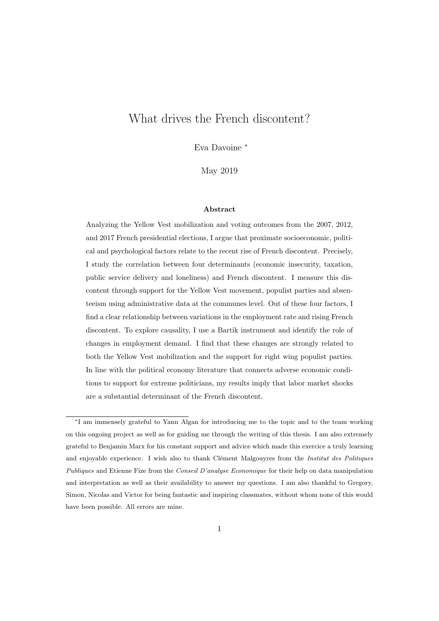# What drives the French discontent?

Eva Davoine <sup>∗</sup>

May 2019

#### Abstract

Analyzing the Yellow Vest mobilization and voting outcomes from the 2007, 2012, and 2017 French presidential elections, I argue that proximate socioeconomic, political and psychological factors relate to the recent rise of French discontent. Precisely, I study the correlation between four determinants (economic insecurity, taxation, public service delivery and loneliness) and French discontent. I measure this discontent through support for the Yellow Vest movement, populist parties and absenteeism using administrative data at the communes level. Out of these four factors, I find a clear relationship between variations in the employment rate and rising French discontent. To explore causality, I use a Bartik instrument and identify the role of changes in employment demand. I find that these changes are strongly related to both the Yellow Vest mobilization and the support for right wing populist parties. In line with the political economy literature that connects adverse economic conditions to support for extreme politicians, my results imply that labor market shocks are a substantial determinant of the French discontent.

<sup>∗</sup> I am immensely grateful to Yann Algan for introducing me to the topic and to the team working on this ongoing project as well as for guiding me through the writing of this thesis. I am also extremely grateful to Benjamin Marx for his constant support and advice which made this exercice a truly learning and enjoyable experience. I wish also to thank Clément Malgouyres from the Institut des Politiques Publiques and Etienne Fize from the Conseil D'analyse Economique for their help on data manipulation and interpretation as well as their availability to answer my questions. I am also thankful to Gregory, Simon, Nicolas and Victor for being fantastic and inspiring classmates, without whom none of this would have been possible. All errors are mine.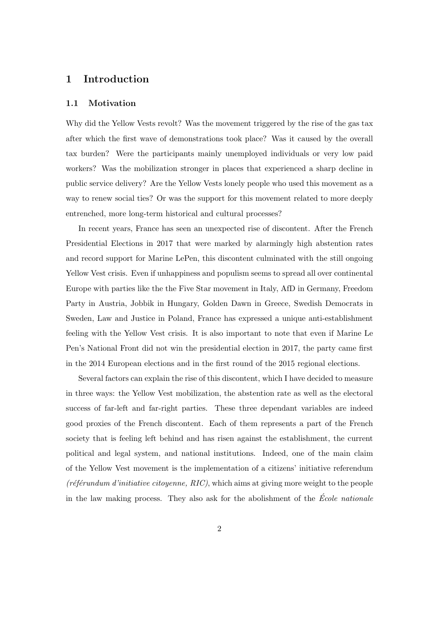## 1 Introduction

#### 1.1 Motivation

Why did the Yellow Vests revolt? Was the movement triggered by the rise of the gas tax after which the first wave of demonstrations took place? Was it caused by the overall tax burden? Were the participants mainly unemployed individuals or very low paid workers? Was the mobilization stronger in places that experienced a sharp decline in public service delivery? Are the Yellow Vests lonely people who used this movement as a way to renew social ties? Or was the support for this movement related to more deeply entrenched, more long-term historical and cultural processes?

In recent years, France has seen an unexpected rise of discontent. After the French Presidential Elections in 2017 that were marked by alarmingly high abstention rates and record support for Marine LePen, this discontent culminated with the still ongoing Yellow Vest crisis. Even if unhappiness and populism seems to spread all over continental Europe with parties like the the Five Star movement in Italy, AfD in Germany, Freedom Party in Austria, Jobbik in Hungary, Golden Dawn in Greece, Swedish Democrats in Sweden, Law and Justice in Poland, France has expressed a unique anti-establishment feeling with the Yellow Vest crisis. It is also important to note that even if Marine Le Pen's National Front did not win the presidential election in 2017, the party came first in the 2014 European elections and in the first round of the 2015 regional elections.

Several factors can explain the rise of this discontent, which I have decided to measure in three ways: the Yellow Vest mobilization, the abstention rate as well as the electoral success of far-left and far-right parties. These three dependant variables are indeed good proxies of the French discontent. Each of them represents a part of the French society that is feeling left behind and has risen against the establishment, the current political and legal system, and national institutions. Indeed, one of the main claim of the Yellow Vest movement is the implementation of a citizens' initiative referendum  $(r \epsilon f'$ eforundum d'initiative citoyenne, RIC), which aims at giving more weight to the people in the law making process. They also ask for the abolishment of the  $\acute{E}cole$  nationale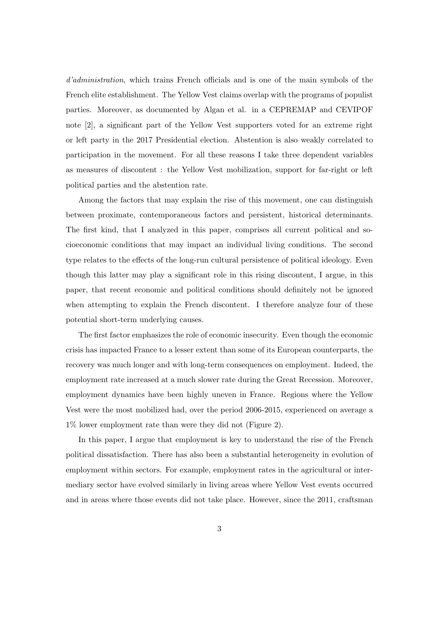d'administration, which trains French officials and is one of the main symbols of the French elite establishment. The Yellow Vest claims overlap with the programs of populist parties. Moreover, as documented by Algan et al. in a CEPREMAP and CEVIPOF note [2], a significant part of the Yellow Vest supporters voted for an extreme right or left party in the 2017 Presidential election. Abstention is also weakly correlated to participation in the movement. For all these reasons I take three dependent variables as measures of discontent : the Yellow Vest mobilization, support for far-right or left political parties and the abstention rate.

Among the factors that may explain the rise of this movement, one can distinguish between proximate, contemporaneous factors and persistent, historical determinants. The first kind, that I analyzed in this paper, comprises all current political and socioeconomic conditions that may impact an individual living conditions. The second type relates to the effects of the long-run cultural persistence of political ideology. Even though this latter may play a significant role in this rising discontent, I argue, in this paper, that recent economic and political conditions should definitely not be ignored when attempting to explain the French discontent. I therefore analyze four of these potential short-term underlying causes.

The first factor emphasizes the role of economic insecurity. Even though the economic crisis has impacted France to a lesser extent than some of its European counterparts, the recovery was much longer and with long-term consequences on employment. Indeed, the employment rate increased at a much slower rate during the Great Recession. Moreover, employment dynamics have been highly uneven in France. Regions where the Yellow Vest were the most mobilized had, over the period 2006-2015, experienced on average a 1% lower employment rate than were they did not (Figure 2).

In this paper, I argue that employment is key to understand the rise of the French political dissatisfaction. There has also been a substantial heterogeneity in evolution of employment within sectors. For example, employment rates in the agricultural or intermediary sector have evolved similarly in living areas where Yellow Vest events occurred and in areas where those events did not take place. However, since the 2011, craftsman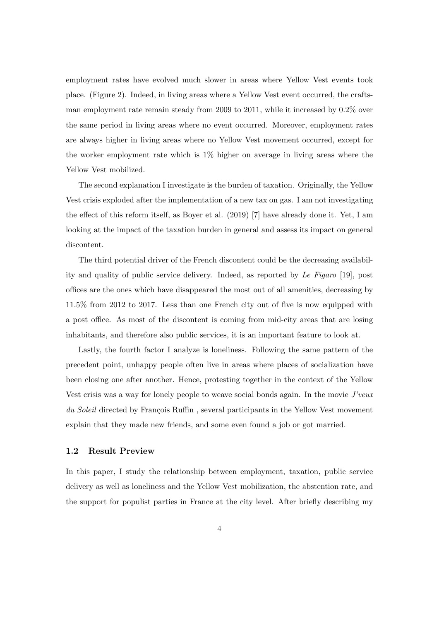employment rates have evolved much slower in areas where Yellow Vest events took place. (Figure 2). Indeed, in living areas where a Yellow Vest event occurred, the craftsman employment rate remain steady from 2009 to 2011, while it increased by 0.2% over the same period in living areas where no event occurred. Moreover, employment rates are always higher in living areas where no Yellow Vest movement occurred, except for the worker employment rate which is 1% higher on average in living areas where the Yellow Vest mobilized.

The second explanation I investigate is the burden of taxation. Originally, the Yellow Vest crisis exploded after the implementation of a new tax on gas. I am not investigating the effect of this reform itself, as Boyer et al. (2019) [7] have already done it. Yet, I am looking at the impact of the taxation burden in general and assess its impact on general discontent.

The third potential driver of the French discontent could be the decreasing availability and quality of public service delivery. Indeed, as reported by Le Figaro [19], post offices are the ones which have disappeared the most out of all amenities, decreasing by 11.5% from 2012 to 2017. Less than one French city out of five is now equipped with a post office. As most of the discontent is coming from mid-city areas that are losing inhabitants, and therefore also public services, it is an important feature to look at.

Lastly, the fourth factor I analyze is loneliness. Following the same pattern of the precedent point, unhappy people often live in areas where places of socialization have been closing one after another. Hence, protesting together in the context of the Yellow Vest crisis was a way for lonely people to weave social bonds again. In the movie J'veux du Soleil directed by François Ruffin, several participants in the Yellow Vest movement explain that they made new friends, and some even found a job or got married.

#### 1.2 Result Preview

In this paper, I study the relationship between employment, taxation, public service delivery as well as loneliness and the Yellow Vest mobilization, the abstention rate, and the support for populist parties in France at the city level. After briefly describing my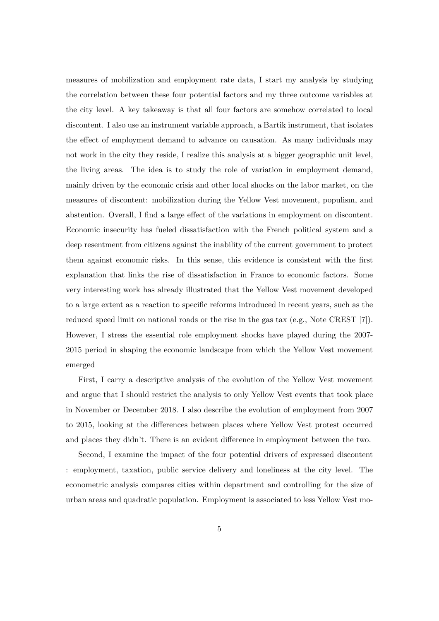measures of mobilization and employment rate data, I start my analysis by studying the correlation between these four potential factors and my three outcome variables at the city level. A key takeaway is that all four factors are somehow correlated to local discontent. I also use an instrument variable approach, a Bartik instrument, that isolates the effect of employment demand to advance on causation. As many individuals may not work in the city they reside, I realize this analysis at a bigger geographic unit level, the living areas. The idea is to study the role of variation in employment demand, mainly driven by the economic crisis and other local shocks on the labor market, on the measures of discontent: mobilization during the Yellow Vest movement, populism, and abstention. Overall, I find a large effect of the variations in employment on discontent. Economic insecurity has fueled dissatisfaction with the French political system and a deep resentment from citizens against the inability of the current government to protect them against economic risks. In this sense, this evidence is consistent with the first explanation that links the rise of dissatisfaction in France to economic factors. Some very interesting work has already illustrated that the Yellow Vest movement developed to a large extent as a reaction to specific reforms introduced in recent years, such as the reduced speed limit on national roads or the rise in the gas tax (e.g., Note CREST [7]). However, I stress the essential role employment shocks have played during the 2007- 2015 period in shaping the economic landscape from which the Yellow Vest movement emerged

First, I carry a descriptive analysis of the evolution of the Yellow Vest movement and argue that I should restrict the analysis to only Yellow Vest events that took place in November or December 2018. I also describe the evolution of employment from 2007 to 2015, looking at the differences between places where Yellow Vest protest occurred and places they didn't. There is an evident difference in employment between the two.

Second, I examine the impact of the four potential drivers of expressed discontent : employment, taxation, public service delivery and loneliness at the city level. The econometric analysis compares cities within department and controlling for the size of urban areas and quadratic population. Employment is associated to less Yellow Vest mo-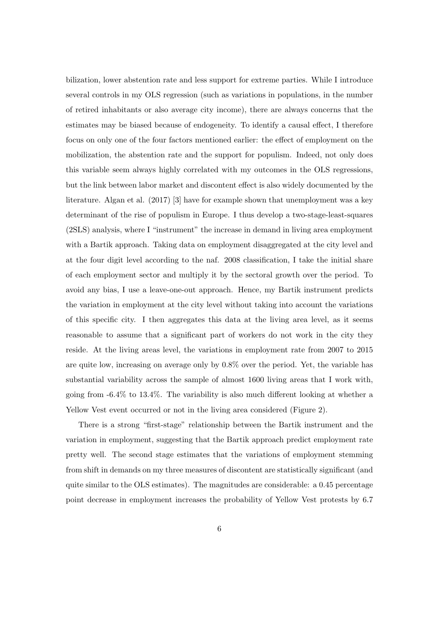bilization, lower abstention rate and less support for extreme parties. While I introduce several controls in my OLS regression (such as variations in populations, in the number of retired inhabitants or also average city income), there are always concerns that the estimates may be biased because of endogeneity. To identify a causal effect, I therefore focus on only one of the four factors mentioned earlier: the effect of employment on the mobilization, the abstention rate and the support for populism. Indeed, not only does this variable seem always highly correlated with my outcomes in the OLS regressions, but the link between labor market and discontent effect is also widely documented by the literature. Algan et al. (2017) [3] have for example shown that unemployment was a key determinant of the rise of populism in Europe. I thus develop a two-stage-least-squares (2SLS) analysis, where I "instrument" the increase in demand in living area employment with a Bartik approach. Taking data on employment disaggregated at the city level and at the four digit level according to the naf. 2008 classification, I take the initial share of each employment sector and multiply it by the sectoral growth over the period. To avoid any bias, I use a leave-one-out approach. Hence, my Bartik instrument predicts the variation in employment at the city level without taking into account the variations of this specific city. I then aggregates this data at the living area level, as it seems reasonable to assume that a significant part of workers do not work in the city they reside. At the living areas level, the variations in employment rate from 2007 to 2015 are quite low, increasing on average only by 0.8% over the period. Yet, the variable has substantial variability across the sample of almost 1600 living areas that I work with, going from -6.4% to 13.4%. The variability is also much different looking at whether a Yellow Vest event occurred or not in the living area considered (Figure 2).

There is a strong "first-stage" relationship between the Bartik instrument and the variation in employment, suggesting that the Bartik approach predict employment rate pretty well. The second stage estimates that the variations of employment stemming from shift in demands on my three measures of discontent are statistically significant (and quite similar to the OLS estimates). The magnitudes are considerable: a 0.45 percentage point decrease in employment increases the probability of Yellow Vest protests by 6.7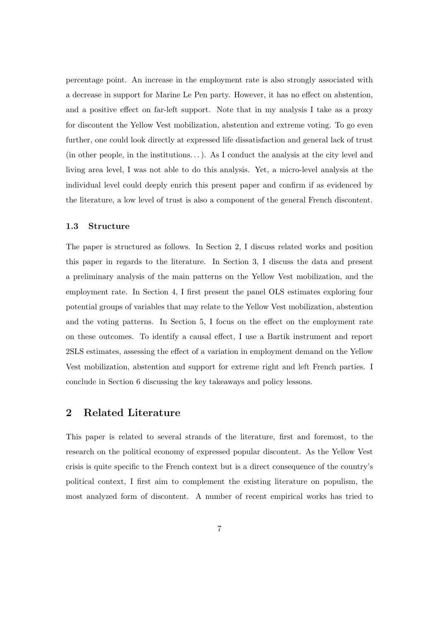percentage point. An increase in the employment rate is also strongly associated with a decrease in support for Marine Le Pen party. However, it has no effect on abstention, and a positive effect on far-left support. Note that in my analysis I take as a proxy for discontent the Yellow Vest mobilization, abstention and extreme voting. To go even further, one could look directly at expressed life dissatisfaction and general lack of trust (in other people, in the institutions. . . ). As I conduct the analysis at the city level and living area level, I was not able to do this analysis. Yet, a micro-level analysis at the individual level could deeply enrich this present paper and confirm if as evidenced by the literature, a low level of trust is also a component of the general French discontent.

#### 1.3 Structure

The paper is structured as follows. In Section 2, I discuss related works and position this paper in regards to the literature. In Section 3, I discuss the data and present a preliminary analysis of the main patterns on the Yellow Vest mobilization, and the employment rate. In Section 4, I first present the panel OLS estimates exploring four potential groups of variables that may relate to the Yellow Vest mobilization, abstention and the voting patterns. In Section 5, I focus on the effect on the employment rate on these outcomes. To identify a causal effect, I use a Bartik instrument and report 2SLS estimates, assessing the effect of a variation in employment demand on the Yellow Vest mobilization, abstention and support for extreme right and left French parties. I conclude in Section 6 discussing the key takeaways and policy lessons.

### 2 Related Literature

This paper is related to several strands of the literature, first and foremost, to the research on the political economy of expressed popular discontent. As the Yellow Vest crisis is quite specific to the French context but is a direct consequence of the country's political context, I first aim to complement the existing literature on populism, the most analyzed form of discontent. A number of recent empirical works has tried to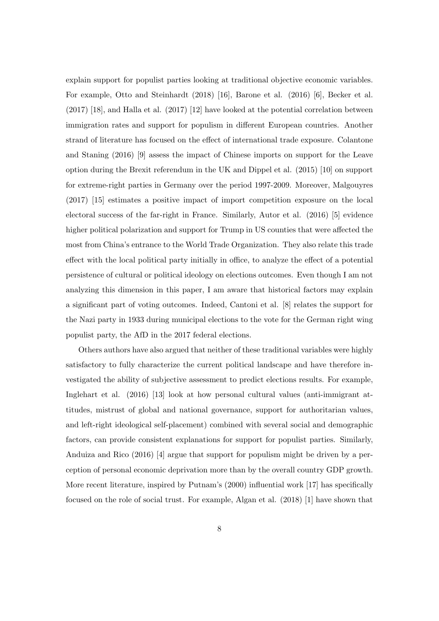explain support for populist parties looking at traditional objective economic variables. For example, Otto and Steinhardt (2018) [16], Barone et al. (2016) [6], Becker et al. (2017) [18], and Halla et al. (2017) [12] have looked at the potential correlation between immigration rates and support for populism in different European countries. Another strand of literature has focused on the effect of international trade exposure. Colantone and Staning (2016) [9] assess the impact of Chinese imports on support for the Leave option during the Brexit referendum in the UK and Dippel et al. (2015) [10] on support for extreme-right parties in Germany over the period 1997-2009. Moreover, Malgouyres (2017) [15] estimates a positive impact of import competition exposure on the local electoral success of the far-right in France. Similarly, Autor et al. (2016) [5] evidence higher political polarization and support for Trump in US counties that were affected the most from China's entrance to the World Trade Organization. They also relate this trade effect with the local political party initially in office, to analyze the effect of a potential persistence of cultural or political ideology on elections outcomes. Even though I am not analyzing this dimension in this paper, I am aware that historical factors may explain a significant part of voting outcomes. Indeed, Cantoni et al. [8] relates the support for the Nazi party in 1933 during municipal elections to the vote for the German right wing populist party, the AfD in the 2017 federal elections.

Others authors have also argued that neither of these traditional variables were highly satisfactory to fully characterize the current political landscape and have therefore investigated the ability of subjective assessment to predict elections results. For example, Inglehart et al. (2016) [13] look at how personal cultural values (anti-immigrant attitudes, mistrust of global and national governance, support for authoritarian values, and left-right ideological self-placement) combined with several social and demographic factors, can provide consistent explanations for support for populist parties. Similarly, Anduiza and Rico (2016) [4] argue that support for populism might be driven by a perception of personal economic deprivation more than by the overall country GDP growth. More recent literature, inspired by Putnam's (2000) influential work [17] has specifically focused on the role of social trust. For example, Algan et al. (2018) [1] have shown that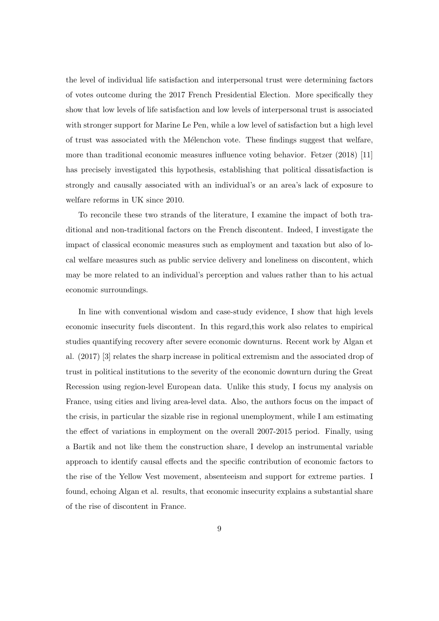the level of individual life satisfaction and interpersonal trust were determining factors of votes outcome during the 2017 French Presidential Election. More specifically they show that low levels of life satisfaction and low levels of interpersonal trust is associated with stronger support for Marine Le Pen, while a low level of satisfaction but a high level of trust was associated with the Mélenchon vote. These findings suggest that welfare, more than traditional economic measures influence voting behavior. Fetzer (2018) [11] has precisely investigated this hypothesis, establishing that political dissatisfaction is strongly and causally associated with an individual's or an area's lack of exposure to welfare reforms in UK since 2010.

To reconcile these two strands of the literature, I examine the impact of both traditional and non-traditional factors on the French discontent. Indeed, I investigate the impact of classical economic measures such as employment and taxation but also of local welfare measures such as public service delivery and loneliness on discontent, which may be more related to an individual's perception and values rather than to his actual economic surroundings.

In line with conventional wisdom and case-study evidence, I show that high levels economic insecurity fuels discontent. In this regard,this work also relates to empirical studies quantifying recovery after severe economic downturns. Recent work by Algan et al. (2017) [3] relates the sharp increase in political extremism and the associated drop of trust in political institutions to the severity of the economic downturn during the Great Recession using region-level European data. Unlike this study, I focus my analysis on France, using cities and living area-level data. Also, the authors focus on the impact of the crisis, in particular the sizable rise in regional unemployment, while I am estimating the effect of variations in employment on the overall 2007-2015 period. Finally, using a Bartik and not like them the construction share, I develop an instrumental variable approach to identify causal effects and the specific contribution of economic factors to the rise of the Yellow Vest movement, absenteeism and support for extreme parties. I found, echoing Algan et al. results, that economic insecurity explains a substantial share of the rise of discontent in France.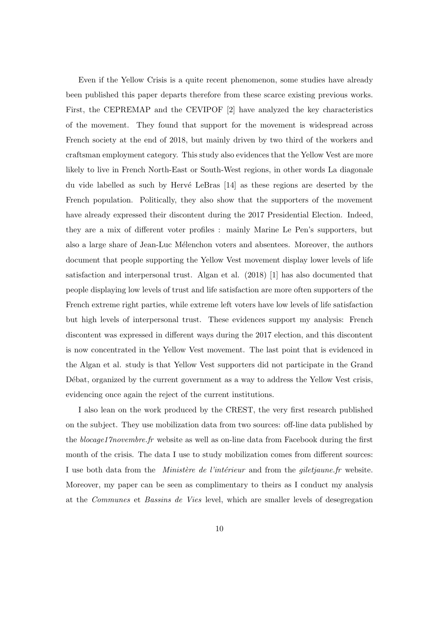Even if the Yellow Crisis is a quite recent phenomenon, some studies have already been published this paper departs therefore from these scarce existing previous works. First, the CEPREMAP and the CEVIPOF [2] have analyzed the key characteristics of the movement. They found that support for the movement is widespread across French society at the end of 2018, but mainly driven by two third of the workers and craftsman employment category. This study also evidences that the Yellow Vest are more likely to live in French North-East or South-West regions, in other words La diagonale du vide labelled as such by Hervé LeBras  $[14]$  as these regions are deserted by the French population. Politically, they also show that the supporters of the movement have already expressed their discontent during the 2017 Presidential Election. Indeed, they are a mix of different voter profiles : mainly Marine Le Pen's supporters, but also a large share of Jean-Luc M´elenchon voters and absentees. Moreover, the authors document that people supporting the Yellow Vest movement display lower levels of life satisfaction and interpersonal trust. Algan et al. (2018) [1] has also documented that people displaying low levels of trust and life satisfaction are more often supporters of the French extreme right parties, while extreme left voters have low levels of life satisfaction but high levels of interpersonal trust. These evidences support my analysis: French discontent was expressed in different ways during the 2017 election, and this discontent is now concentrated in the Yellow Vest movement. The last point that is evidenced in the Algan et al. study is that Yellow Vest supporters did not participate in the Grand Débat, organized by the current government as a way to address the Yellow Vest crisis, evidencing once again the reject of the current institutions.

I also lean on the work produced by the CREST, the very first research published on the subject. They use mobilization data from two sources: off-line data published by the blocage17novembre.fr website as well as on-line data from Facebook during the first month of the crisis. The data I use to study mobilization comes from different sources: I use both data from the *Ministère de l'intérieur* and from the *giletjaune.fr* website. Moreover, my paper can be seen as complimentary to theirs as I conduct my analysis at the Communes et Bassins de Vies level, which are smaller levels of desegregation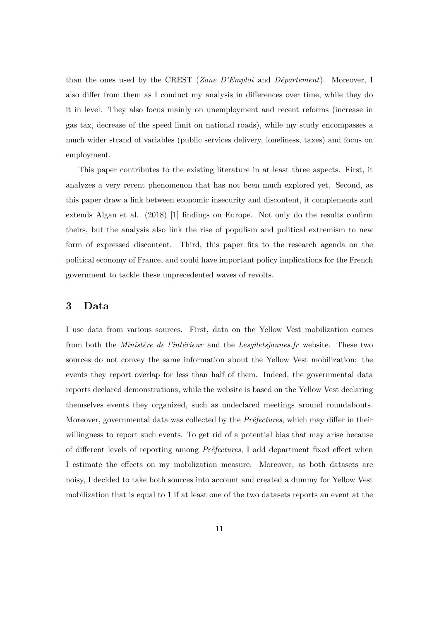than the ones used by the CREST (Zone  $D'Emploi$  and  $D'empontement)$ ). Moreover, I also differ from them as I conduct my analysis in differences over time, while they do it in level. They also focus mainly on unemployment and recent reforms (increase in gas tax, decrease of the speed limit on national roads), while my study encompasses a much wider strand of variables (public services delivery, loneliness, taxes) and focus on employment.

This paper contributes to the existing literature in at least three aspects. First, it analyzes a very recent phenomenon that has not been much explored yet. Second, as this paper draw a link between economic insecurity and discontent, it complements and extends Algan et al. (2018) [1] findings on Europe. Not only do the results confirm theirs, but the analysis also link the rise of populism and political extremism to new form of expressed discontent. Third, this paper fits to the research agenda on the political economy of France, and could have important policy implications for the French government to tackle these unprecedented waves of revolts.

## 3 Data

I use data from various sources. First, data on the Yellow Vest mobilization comes from both the *Ministère de l'intérieur* and the *Lesgiletsjaunes.fr* website. These two sources do not convey the same information about the Yellow Vest mobilization: the events they report overlap for less than half of them. Indeed, the governmental data reports declared demonstrations, while the website is based on the Yellow Vest declaring themselves events they organized, such as undeclared meetings around roundabouts. Moreover, governmental data was collected by the  $Préfectures$ , which may differ in their willingness to report such events. To get rid of a potential bias that may arise because of different levels of reporting among *Préfectures*, I add department fixed effect when I estimate the effects on my mobilization measure. Moreover, as both datasets are noisy, I decided to take both sources into account and created a dummy for Yellow Vest mobilization that is equal to 1 if at least one of the two datasets reports an event at the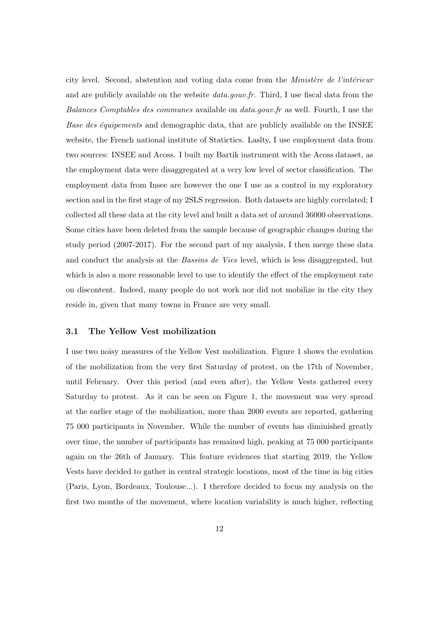city level. Second, abstention and voting data come from the *Ministère de l'intérieur* and are publicly available on the website *data.gouv.fr.* Third, I use fiscal data from the Balances Comptables des communes available on data.gouv.fr as well. Fourth, I use the Base des équipements and demographic data, that are publicly available on the INSEE website, the French national institute of Statictics. Laslty, I use employment data from two sources: INSEE and Acoss. I built my Bartik instrument with the Acoss dataset, as the employment data were disaggregated at a very low level of sector classification. The employment data from Insee are however the one I use as a control in my exploratory section and in the first stage of my 2SLS regression. Both datasets are highly correlated; I collected all these data at the city level and built a data set of around 36000 observations. Some cities have been deleted from the sample because of geographic changes during the study period (2007-2017). For the second part of my analysis, I then merge these data and conduct the analysis at the *Bassins de Vies* level, which is less disaggregated, but which is also a more reasonable level to use to identify the effect of the employment rate on discontent. Indeed, many people do not work nor did not mobilize in the city they reside in, given that many towns in France are very small.

#### 3.1 The Yellow Vest mobilization

I use two noisy measures of the Yellow Vest mobilization. Figure 1 shows the evolution of the mobilization from the very first Saturday of protest, on the 17th of November, until February. Over this period (and even after), the Yellow Vests gathered every Saturday to protest. As it can be seen on Figure 1, the movement was very spread at the earlier stage of the mobilization, more than 2000 events are reported, gathering 75 000 participants in November. While the number of events has diminished greatly over time, the number of participants has remained high, peaking at 75 000 participants again on the 26th of January. This feature evidences that starting 2019, the Yellow Vests have decided to gather in central strategic locations, most of the time in big cities (Paris, Lyon, Bordeaux, Toulouse...). I therefore decided to focus my analysis on the first two months of the movement, where location variability is much higher, reflecting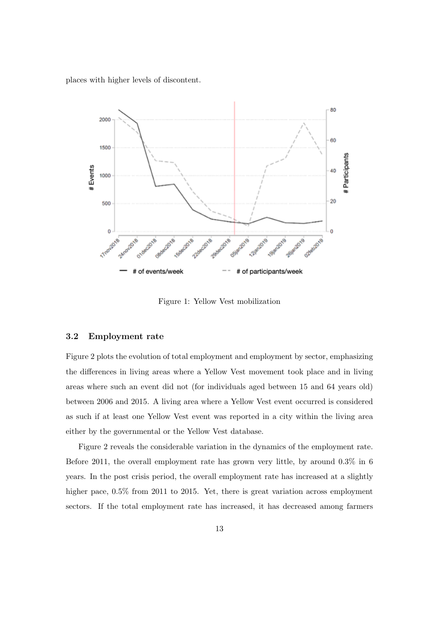places with higher levels of discontent.



Figure 1: Yellow Vest mobilization

#### 3.2 Employment rate

Figure 2 plots the evolution of total employment and employment by sector, emphasizing the differences in living areas where a Yellow Vest movement took place and in living areas where such an event did not (for individuals aged between 15 and 64 years old) between 2006 and 2015. A living area where a Yellow Vest event occurred is considered as such if at least one Yellow Vest event was reported in a city within the living area either by the governmental or the Yellow Vest database.

Figure 2 reveals the considerable variation in the dynamics of the employment rate. Before 2011, the overall employment rate has grown very little, by around 0.3% in 6 years. In the post crisis period, the overall employment rate has increased at a slightly higher pace,  $0.5\%$  from 2011 to 2015. Yet, there is great variation across employment sectors. If the total employment rate has increased, it has decreased among farmers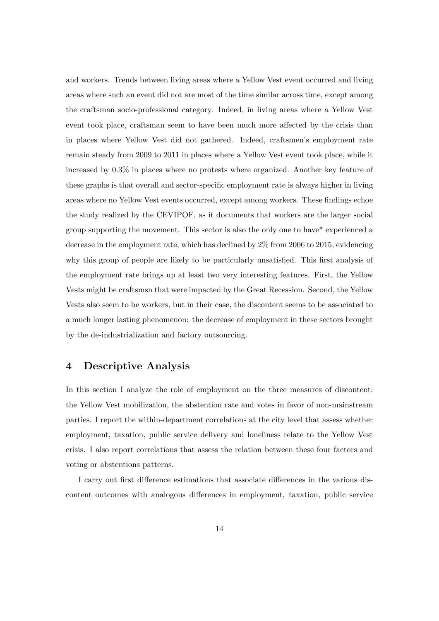and workers. Trends between living areas where a Yellow Vest event occurred and living areas where such an event did not are most of the time similar across time, except among the craftsman socio-professional category. Indeed, in living areas where a Yellow Vest event took place, craftsman seem to have been much more affected by the crisis than in places where Yellow Vest did not gathered. Indeed, craftsmen's employment rate remain steady from 2009 to 2011 in places where a Yellow Vest event took place, while it increased by 0.3% in places where no protests where organized. Another key feature of these graphs is that overall and sector-specific employment rate is always higher in living areas where no Yellow Vest events occurred, except among workers. These findings echoe the study realized by the CEVIPOF, as it documents that workers are the larger social group supporting the movement. This sector is also the only one to have\* experienced a decrease in the employment rate, which has declined by 2% from 2006 to 2015, evidencing why this group of people are likely to be particularly unsatisfied. This first analysis of the employment rate brings up at least two very interesting features. First, the Yellow Vests might be craftsmsn that were impacted by the Great Recession. Second, the Yellow Vests also seem to be workers, but in their case, the discontent seems to be associated to a much longer lasting phenomenon: the decrease of employment in these sectors brought by the de-industrialization and factory outsourcing.

## 4 Descriptive Analysis

In this section I analyze the role of employment on the three measures of discontent: the Yellow Vest mobilization, the abstention rate and votes in favor of non-mainstream parties. I report the within-department correlations at the city level that assess whether employment, taxation, public service delivery and loneliness relate to the Yellow Vest crisis. I also report correlations that assess the relation between these four factors and voting or abstentions patterns.

I carry out first difference estimations that associate differences in the various discontent outcomes with analogous differences in employment, taxation, public service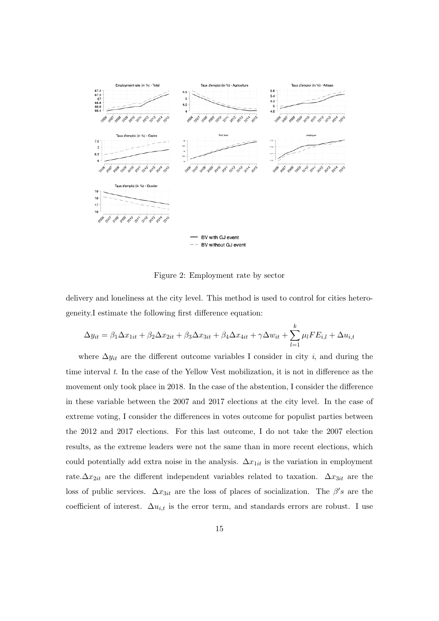

Figure 2: Employment rate by sector

delivery and loneliness at the city level. This method is used to control for cities heterogeneity.I estimate the following first difference equation:

$$
\Delta y_{it} = \beta_1 \Delta x_{1it} + \beta_2 \Delta x_{2it} + \beta_3 \Delta x_{3it} + \beta_4 \Delta x_{4it} + \gamma \Delta w_{it} + \sum_{l=1}^k \mu_l F E_{i,l} + \Delta u_{i,t}
$$

where  $\Delta y_{it}$  are the different outcome variables I consider in city *i*, and during the time interval  $t$ . In the case of the Yellow Vest mobilization, it is not in difference as the movement only took place in 2018. In the case of the abstention, I consider the difference in these variable between the 2007 and 2017 elections at the city level. In the case of extreme voting, I consider the differences in votes outcome for populist parties between the 2012 and 2017 elections. For this last outcome, I do not take the 2007 election results, as the extreme leaders were not the same than in more recent elections, which could potentially add extra noise in the analysis.  $\Delta x_{1it}$  is the variation in employment rate. $\Delta x_{2it}$  are the different independent variables related to taxation.  $\Delta x_{3it}$  are the loss of public services.  $\Delta x_{3it}$  are the loss of places of socialization. The  $\beta's$  are the coefficient of interest.  $\Delta u_{i,t}$  is the error term, and standards errors are robust. I use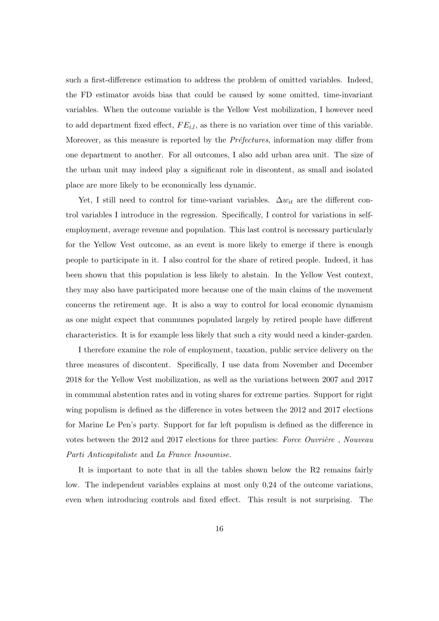such a first-difference estimation to address the problem of omitted variables. Indeed, the FD estimator avoids bias that could be caused by some omitted, time-invariant variables. When the outcome variable is the Yellow Vest mobilization, I however need to add department fixed effect,  $FE_{i,l}$ , as there is no variation over time of this variable. Moreover, as this measure is reported by the *Préfectures*, information may differ from one department to another. For all outcomes, I also add urban area unit. The size of the urban unit may indeed play a significant role in discontent, as small and isolated place are more likely to be economically less dynamic.

Yet, I still need to control for time-variant variables.  $\Delta w_{it}$  are the different control variables I introduce in the regression. Specifically, I control for variations in selfemployment, average revenue and population. This last control is necessary particularly for the Yellow Vest outcome, as an event is more likely to emerge if there is enough people to participate in it. I also control for the share of retired people. Indeed, it has been shown that this population is less likely to abstain. In the Yellow Vest context, they may also have participated more because one of the main claims of the movement concerns the retirement age. It is also a way to control for local economic dynamism as one might expect that communes populated largely by retired people have different characteristics. It is for example less likely that such a city would need a kinder-garden.

I therefore examine the role of employment, taxation, public service delivery on the three measures of discontent. Specifically, I use data from November and December 2018 for the Yellow Vest mobilization, as well as the variations between 2007 and 2017 in communal abstention rates and in voting shares for extreme parties. Support for right wing populism is defined as the difference in votes between the 2012 and 2017 elections for Marine Le Pen's party. Support for far left populism is defined as the difference in votes between the 2012 and 2017 elections for three parties: Force Ouvrière, Nouveau Parti Anticapitaliste and La France Insoumise.

It is important to note that in all the tables shown below the R2 remains fairly low. The independent variables explains at most only 0,24 of the outcome variations, even when introducing controls and fixed effect. This result is not surprising. The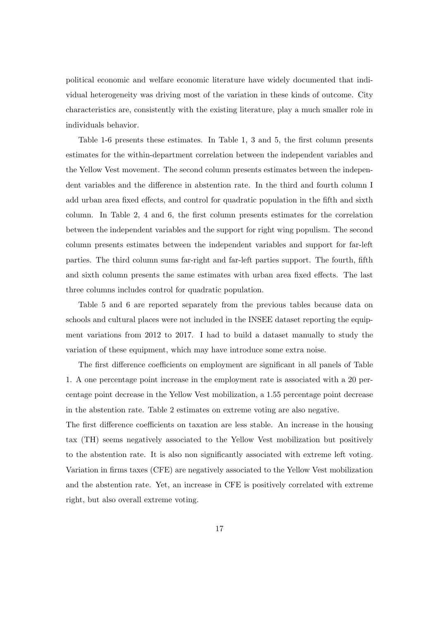political economic and welfare economic literature have widely documented that individual heterogeneity was driving most of the variation in these kinds of outcome. City characteristics are, consistently with the existing literature, play a much smaller role in individuals behavior.

Table 1-6 presents these estimates. In Table 1, 3 and 5, the first column presents estimates for the within-department correlation between the independent variables and the Yellow Vest movement. The second column presents estimates between the independent variables and the difference in abstention rate. In the third and fourth column I add urban area fixed effects, and control for quadratic population in the fifth and sixth column. In Table 2, 4 and 6, the first column presents estimates for the correlation between the independent variables and the support for right wing populism. The second column presents estimates between the independent variables and support for far-left parties. The third column sums far-right and far-left parties support. The fourth, fifth and sixth column presents the same estimates with urban area fixed effects. The last three columns includes control for quadratic population.

Table 5 and 6 are reported separately from the previous tables because data on schools and cultural places were not included in the INSEE dataset reporting the equipment variations from 2012 to 2017. I had to build a dataset manually to study the variation of these equipment, which may have introduce some extra noise.

The first difference coefficients on employment are significant in all panels of Table 1. A one percentage point increase in the employment rate is associated with a 20 percentage point decrease in the Yellow Vest mobilization, a 1.55 percentage point decrease in the abstention rate. Table 2 estimates on extreme voting are also negative.

The first difference coefficients on taxation are less stable. An increase in the housing tax (TH) seems negatively associated to the Yellow Vest mobilization but positively to the abstention rate. It is also non significantly associated with extreme left voting. Variation in firms taxes (CFE) are negatively associated to the Yellow Vest mobilization and the abstention rate. Yet, an increase in CFE is positively correlated with extreme right, but also overall extreme voting.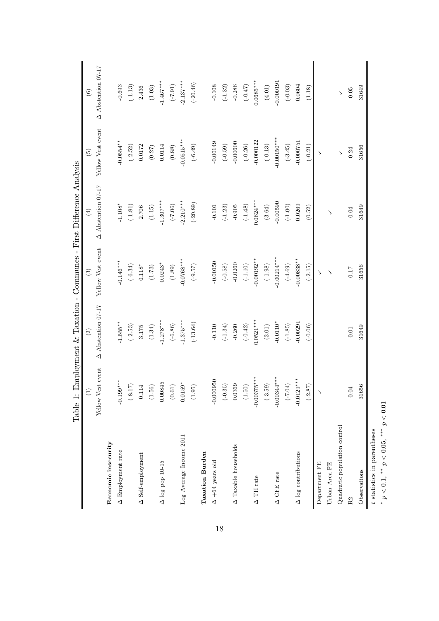|                                            | Table 1:             | Employment & Taxation - Communes - First Difference Analysis |                   |                       |                   |                       |
|--------------------------------------------|----------------------|--------------------------------------------------------------|-------------------|-----------------------|-------------------|-----------------------|
|                                            |                      | $\odot$                                                      | $\odot$           | $\bigoplus$           | $\widehat{E}$     | $\odot$               |
|                                            | Yellow Vest event    | Abstention 07-17<br>◁                                        | Yellow Vest event | Abstention 07-17<br>◁ | Yellow Vest event | Abstention 07-17<br>◁ |
| Economic insecurity                        |                      |                                                              |                   |                       |                   |                       |
| A Employment rate                          | $-0.199***$          | $-1.555***$                                                  | $-0.146***$       | $-1.108*$             | $0.0554*$         | $-0.693$              |
|                                            | $(-8.17)$            | $(-2.53)$                                                    | $(-6.34)$         | $(-1.81)$             | $(-2.52)$         | $(-1.13)$             |
| $\Delta$ Self-employment                   | $\,0.114\,$          | 3.175                                                        | $0.118*$          | 2.706                 | 0.0172            | 2.436                 |
|                                            | $(1.56)$             | (1.34)                                                       | (1.73)            | (1.15)                | (0.27)            | $(1.03)$              |
| $\Delta$ log pop 10-15                     | 0.00845              | $-1.278***$                                                  | $0.0243*$         | $-1.307***$           | 0.0114            | $-1.467***$           |
|                                            | $\left( 0.61\right)$ | $(-6.86)$                                                    | (1.89)            | $(-7.06)$             | (0.88)            | $(16.7-)$             |
| Log Average Income 2011                    | $0.0159*$            | $-1.375***$                                                  | $-0.0768***$      | $-2.210***$           | $-0.0515***$      | $-2.137***$           |
|                                            | (1.95)               | $(-13.64)$                                                   | $(-9.57)$         | $(-20.89)$            | $(-6.49)$         | $(-20.46)$            |
| <b>Taxation Burden</b>                     |                      |                                                              |                   |                       |                   |                       |
| $\Delta$ +64 years old                     | $-0.000950$          | $-0.110$                                                     | $-0.00150$        | $-0.101$              | $-0.00149$        | $-0.108$              |
|                                            | $(-0.35)$            | $(-1.34)$                                                    | $(-0.58)$         | $(-1.23)$             | $(-0.59)$         | $(-1.32)$             |
| $\Delta$ Taxable households                | 0.0369               | $-0.260$                                                     | $-0.0260$         | $-0.905$              | $-0.00600$        | $-0.286$              |
|                                            | (1.50)               | $(-0.42)$                                                    | $(-1.10)$         | $(-1.48)$             | $(-0.26)$         | $(-0.47)$             |
| $\Delta$ TH rate                           | $-0.00375***$        | $0.0521***$                                                  | $-0.00192**$      | $0.0624***$           | $-0.000122$       | $0.0685***$           |
|                                            | $(-3.59)$            | $(3.01)$                                                     | $(-1.98)$         | $\left( 3.64\right)$  | $(-0.13)$         | $\left( 4.01\right)$  |
| $\triangle$ CFE rate                       | $-0.00344***$        | $-0.0110*$                                                   | $-0.00214***$     | $-0.00590$            | $-0.00150***$     | $-0.00019$            |
|                                            | $(+7.04)$            | $(-1.85)$                                                    | $(-4.69)$         | $(-1.00)$             | $(-3.45)$         | $(-0.03)$             |
| $\Delta$ log contributions                 | $-0.0129***$         | $-0.00291$                                                   | $-0.00838***$     | 0.0269                | $-0.000751$       | 0.0604                |
|                                            | $(-2.87)$            | $(-0.06)$                                                    | $(-2.15)$         | (0.52)                | $(-0.21)$         | (1.18)                |
| Department FE                              |                      |                                                              | $\rightarrow$     |                       | ↘                 |                       |
| Urban Area FE                              |                      |                                                              | $\rightarrow$     | ゝ                     |                   |                       |
| Quadratic population control               |                      |                                                              |                   |                       | $\backslash$      |                       |
| R2                                         | $0.04\,$             | $0.01\,$                                                     | 0.17              | $0.04\,$              | 0.24              | $0.05\,$              |
| Observations                               | 31656                | 31649                                                        | 31656             | 31649                 | 31656             | 31649                 |
| $t$ statistics in parentheses              |                      |                                                              |                   |                       |                   |                       |
| $p < 0.1$ , ** $p < 0.05$ , *** $p < 0.01$ |                      |                                                              |                   |                       |                   |                       |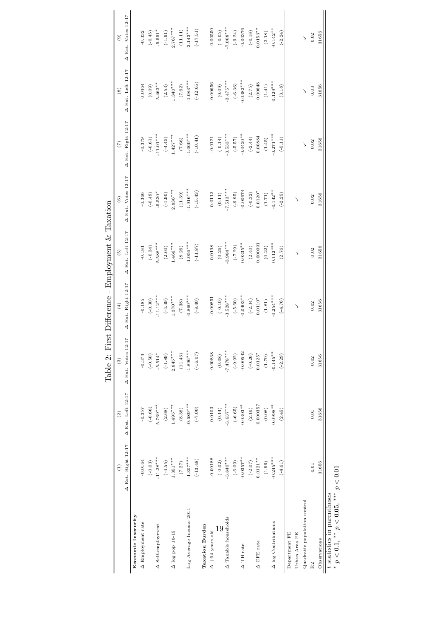|                                                                    |                    |                   | Table 2: Fir       | st Difference - Employment & Taxation |                   |                          |                    |                   |                    |
|--------------------------------------------------------------------|--------------------|-------------------|--------------------|---------------------------------------|-------------------|--------------------------|--------------------|-------------------|--------------------|
|                                                                    | $\widehat{E}$      | (2)               | $\widehat{c}$      | (4)                                   | $\widetilde{5}$   | $\overset{\odot}{\circ}$ | (7)                | $\circledast$     | $\circledcirc$     |
|                                                                    | A Ext. Right 12-17 | A Ext. Left 12-17 | A Ext. Votes 12-17 | A Ext. Right 12-17                    | A Ext. Left 12-17 | A Ext. Votes 12-17       | △ Ext. Right 12-17 | A Ext. Left 12-17 | A Ext. Votes 12-17 |
| Economic Insecurity                                                |                    |                   |                    |                                       |                   |                          |                    |                   |                    |
| $\Delta$ Employment rate                                           | $-0.0164$          | $-0.357$          | $-0.374$           | $-0.185$                              | $-0.181$          | $-0.366$                 | $-0.379$           | 0.0464            | $-0.332$           |
|                                                                    | $(-0.03)$          | $(-0.66)$         | $(-0.50)$          | $(-0.30)$                             | $(-0.34)$         | $(-0.49)$                | $(-0.61)$          | (0.09)            | $(-0.45)$          |
| $\Delta$ Self-employment                                           | $-11.28***$        | $5.769***$        | $-5.514*$          | $-11.12***$                           | $5.588***$        | $-5.530*$                | $-11.01***$        | $5.463**$         | $-5.551*$          |
|                                                                    | $(-4.55)$          | (2.68)            | $(-1.89)$          | $(-4.49)$                             | (2.60)            | $(-1.90)$                | $(-4.45)$          | (2.53)            | $(-1.91)$          |
| $\Delta$ log pop 10-15                                             | $1.351***$         | $1.495***$        | $2.845***$         | $1.370***$                            | $1.466***$        | $2.836***$               | $1.427***$         | $1.340***$        | $2.767***$         |
|                                                                    | (7.27)             | (8.38)            | (11.43)            | (7.38)                                | (8.26)            | (11.39)                  | (7.66)             | (7.62)            | (11.11)            |
| Log Average Income 2011                                            | $-1.307***$        | $-0.589***$       | $-1.896***$        | $-0.860***$                           | $-1.056***$       | $-1.916***$              | $-1.060***$        | $-1.083***$       | $-2.143***$        |
|                                                                    | $(-13.48)$         | $(0.7 - )$        | $(-16.07)$         | $(-8.40)$                             | $(-11.87)$        | $(-15.43)$               | $(-10.41)$         | $(-12.65)$        | $(-17.51)$         |
| <b>Taxation Burden</b>                                             |                    |                   |                    |                                       |                   |                          |                    |                   |                    |
| $\Delta$ +64 years old                                             | $-0.00188$         | 0.0103            | 0.00838            | $-0.00851$                            | 0.0198            | 0.0112                   | $-0.0121$          | 0.00656           | $-0.00550$         |
| 19                                                                 | $(-0.02)$          | (0.14)            | (0.08)             | $(-0.10)$                             | $(0.26)$          | (0.11)                   | $(-0.14)$          | (0.09)            | $(-0.05)$          |
| A Taxable households                                               | $-3.840***$        | $-3.637***$       | $-7.478***$        | $-3.528***$                           | $3.984***$        | $7.513***$               | $-3.533***$        | $-3.475***$       | $-7.008***$        |
|                                                                    | $(-6.09)$          | $(-6.65)$         | $(-9.92)$          | $(-5.60)$                             | $(-7.29)$         | $(-9.95)$                | $(-5.57)$          | $(-6.36)$         | $(-9.24)$          |
| $\Delta$ TH rate                                                   | $-0.0357***$       | $0.0303**$        | $-0.00542$         | $-0.0403**$                           | $0.0335***$       | $-0.00674$               | $-0.0420**$        | $0.0382***$       | $-0.00376$         |
|                                                                    | $(-2.07)$          | $(2.16)$          | $(-0.26)$          | $(-2.34)$                             | (2.40)            | $(-0.32)$                | $(-2.44)$          | (2.75)            | $(-0.18)$          |
| $\Delta$ CFE rate                                                  | $0.0121***$        | 0.000357          | $0.0125*$          | $0.0110*$                             | 0.000991          | $0.0120*$                | 0.00884            | 0.00648           | $0.0153**$         |
|                                                                    | (1.99)             | (0.08)            | (1.79)             | (1.81)                                | $(0.22)$          | (1.71)                   | (1.45)             | (1.41)            | (2.18)             |
| A log Contributions                                                | $-0.245***$        | $0.0998**$        | $-0.145**$         | $0.254***$                            | $0.112***$        | $0.142**$                | $0.271***$         | $0.129***$        | $-0.142**$         |
|                                                                    | $(-4.61)$          | (2.45)            | $(-2.29)$          | $(-4.76)$                             | (2.76)            | $(-2.25)$                | $(-5.11)$          | (3.18)            | $(-2.24)$          |
| Department FE                                                      |                    |                   |                    |                                       |                   |                          |                    |                   |                    |
| Urban Area FE                                                      |                    |                   |                    | ↘                                     | ↘                 | ゝ                        |                    |                   |                    |
| Quadratic population control                                       |                    |                   |                    |                                       |                   |                          |                    |                   | $\backslash$       |
| R2                                                                 | $0.01\,$           | 0.01              | 0.02               | 0.02                                  | 0.02              | 0.02                     | 0.02               | 0.03              | $0.02\,$           |
| Observations                                                       | 31656              | 31656             | 31656              | 31656                                 | 31656             | 31656                    | 31656              | 31656             | 31656              |
| ききき まくしく<br>$t$ statistics in parentheses<br>the control<br>.<br>< | $\sim$ $\sim$      |                   |                    |                                       |                   |                          |                    |                   |                    |

\*  $p < 0.1$ , \*\*  $p < 0.05$ , \*\*\*  $p < 0.01$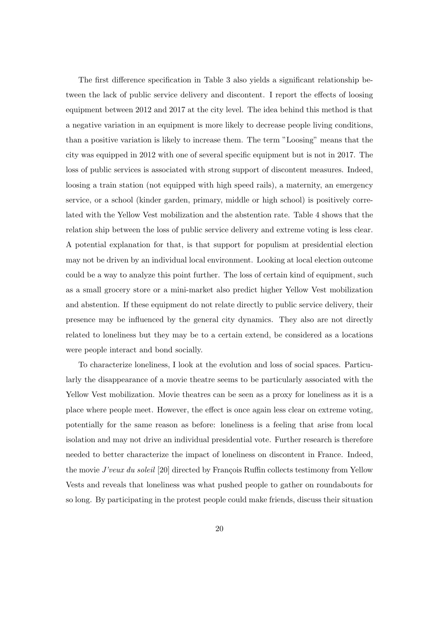The first difference specification in Table 3 also yields a significant relationship between the lack of public service delivery and discontent. I report the effects of loosing equipment between 2012 and 2017 at the city level. The idea behind this method is that a negative variation in an equipment is more likely to decrease people living conditions, than a positive variation is likely to increase them. The term "Loosing" means that the city was equipped in 2012 with one of several specific equipment but is not in 2017. The loss of public services is associated with strong support of discontent measures. Indeed, loosing a train station (not equipped with high speed rails), a maternity, an emergency service, or a school (kinder garden, primary, middle or high school) is positively correlated with the Yellow Vest mobilization and the abstention rate. Table 4 shows that the relation ship between the loss of public service delivery and extreme voting is less clear. A potential explanation for that, is that support for populism at presidential election may not be driven by an individual local environment. Looking at local election outcome could be a way to analyze this point further. The loss of certain kind of equipment, such as a small grocery store or a mini-market also predict higher Yellow Vest mobilization and abstention. If these equipment do not relate directly to public service delivery, their presence may be influenced by the general city dynamics. They also are not directly related to loneliness but they may be to a certain extend, be considered as a locations were people interact and bond socially.

To characterize loneliness, I look at the evolution and loss of social spaces. Particularly the disappearance of a movie theatre seems to be particularly associated with the Yellow Vest mobilization. Movie theatres can be seen as a proxy for loneliness as it is a place where people meet. However, the effect is once again less clear on extreme voting, potentially for the same reason as before: loneliness is a feeling that arise from local isolation and may not drive an individual presidential vote. Further research is therefore needed to better characterize the impact of loneliness on discontent in France. Indeed, the movie  $J'veux du$  soleil [20] directed by François Ruffin collects testimony from Yellow Vests and reveals that loneliness was what pushed people to gather on roundabouts for so long. By participating in the protest people could make friends, discuss their situation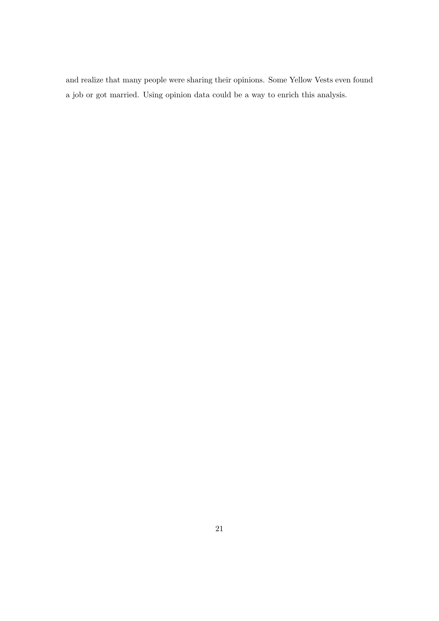and realize that many people were sharing their opinions. Some Yellow Vests even found a job or got married. Using opinion data could be a way to enrich this analysis.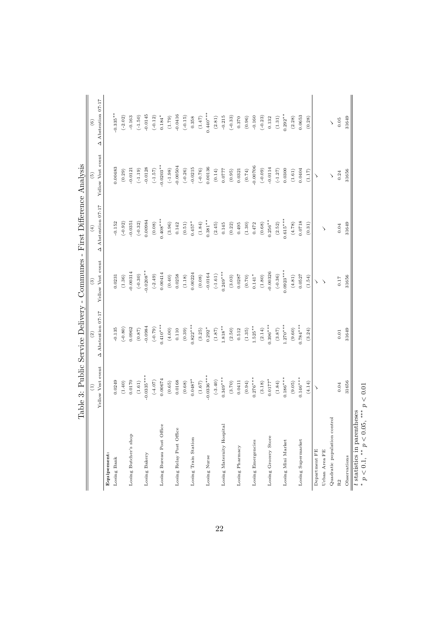|                                                           | Table 3: Public Service Delivery - Communes - |                           |                   | First Difference Analysis |                   |                       |
|-----------------------------------------------------------|-----------------------------------------------|---------------------------|-------------------|---------------------------|-------------------|-----------------------|
|                                                           | $\begin{pmatrix} 1 \end{pmatrix}$             | $\widehat{c}$             | $\binom{3}{2}$    | $\left( 4\right)$         | $\widehat{5}$     | $\widehat{6}$         |
|                                                           | Yellow Vest event                             | $\Delta$ Abstention 07-17 | Yellow Vest event | $\Delta$ Abstention 07-17 | Yellow Vest event | Abstention 07-17<br>◁ |
| Equipement:                                               |                                               |                           |                   |                           |                   |                       |
| Losing Bank                                               | 0.0249                                        | $-0.135$                  | 0.0231            | $-0.152$                  | 0.00483           | $-0.335**$            |
|                                                           | (1.40)                                        | $(-0.80)$                 | (1.36)            | $(-0.92)$                 | (0.29)            | $(-2.02)$             |
| Losing Butcher's shop                                     | 0.0170                                        | 0.0962                    | 0.00314           | $-0.0351$                 | $-0.0121$         | $-0.163$              |
|                                                           | (1.61)                                        | (0.87)                    | $(-0.30)$         | $(-0.32)$                 | $(-1.19)$         | $(-1.50)$             |
| Losing Bakery                                             | $0.0335***$                                   | 0.0984                    | $0.0208**$        | 0.00984                   | $-0.0128$         | 0.0145                |
|                                                           | $(-4.07)$                                     | $(-0.79)$                 | $(-2.49)$         | (0.08)                    | $(-1.57)$         | $(-0.12)$             |
| Losing Bureau Post Office                                 | 0.00674                                       | $0.410***$                | 0.00414           | $0.408***$                | $0.0203*$         | $0.184*$              |
|                                                           | (0.65)                                        | (4.00)                    | (0.40)            | (3.96)                    | $(-1.98)$         | (1.79)                |
| Losing Relay Post Office                                  | 0.0168                                        | 0.110                     | 0.0258            | 0.142                     | 0.00504           | $-0.0416$             |
|                                                           | (0.68)                                        | (0.39)                    | (1.18)            | (0.51)                    | $(-0.26)$         | $(-0.15)$             |
| Losing Train Station                                      | $0.0487*$                                     | $0.822***$                | 0.00224           | $0.457*$                  | $-0.0215$         | 0.358                 |
|                                                           | $(1.67)$                                      | (3.25)                    | (0.08)            | (1.84)                    | $(-0.76)$         | (1.47)                |
| Losing Nurse                                              | $0.0336***$                                   | $0.292*$                  | $-0.0164$         | $0.381***$                | 0.00136           | $0.440***$            |
|                                                           | $(-3.40)$                                     | (1.87)                    | $(-1.61)$         | (2.45)                    | (0.14)            | (2.81)                |
| Losing Maternity Hospital                                 | $0.349***$                                    | $1.818***$                | $0.249***$        | 0.145                     | 0.0777            | $-0.215$              |
|                                                           | (3.70)                                        | (2.50)                    | (3.03)            | (0.22)                    | (0.95)            | $(-0.33)$             |
| Losing Pharmacy                                           | 0.0411                                        | 0.512                     | 0.0287            | 0.495                     | 0.0321            | 0.370                 |
|                                                           | (0.94)                                        | (1.35)                    | (0.70)            | (1.30)                    | (0.74)            | (0.96)                |
| Losing Emergencies                                        | $0.276***$                                    | $1.525**$                 | $0.141*$          | 0.472                     | 0.00706           | $-0.160$              |
|                                                           | (3.18)                                        | (2.14)                    | (1.80)            | (0.68)                    | $(-0.09)$         | $(-0.23)$             |
| Losing Grocery Store                                      | $0.0177*$                                     | $0.396***$                | $-0.00326$        | $0.256***$                | $-0.0114$         | 0.132                 |
|                                                           | (1.84)                                        | (3.87)                    | $(-0.36)$         | (2.52)                    | $(-1.27)$         | (1.31)                |
| Losing Mini Market                                        | $0.186***$                                    | $1.270***$                | $0.0923***$       | $0.615***$                | 0.0300            | $0.292**$             |
|                                                           | (9.05)                                        | (9.60)                    | (4.81)            | (4.78)                    | (1.61)            | (2.28)                |
| Losing Supermarket                                        | $0.146***$                                    | $0.784***$                | 0.0527            | 0.0718                    | 0.0404            | 0.0653                |
|                                                           | (4.14)                                        | (3.24)                    | (1.54)            | (0.31)                    | (1.17)            | (0.28)                |
| Department FE                                             | ゝ                                             |                           | ↘                 |                           | ゝ                 |                       |
| Urban Area FE                                             |                                               |                           | $\rightarrow$     | ゝ                         |                   |                       |
| Quadratic population control                              |                                               |                           |                   |                           | $\backslash$      | $\backslash$          |
| R <sub>2</sub>                                            | 0.04                                          | 0.01                      | 0.17              | 0.04                      | 0.24              | 0.05                  |
| Observations                                              | 31656                                         | 31649                     | 31656             | 31649                     | 31656             | 31649                 |
| t statistics in parentheses<br>$p < 0.1,$ ** $p < 0.05$ , | p < 0.01<br>$***$                             |                           |                   |                           |                   |                       |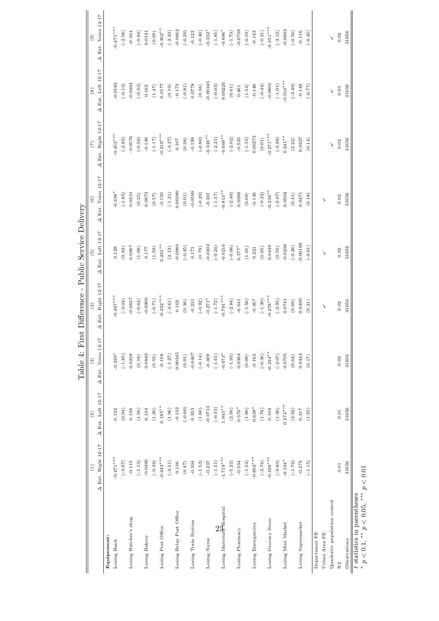|                                                     |                                   |                      | 1                                   |                       |                                                               |                    |                    |                   |                       |
|-----------------------------------------------------|-----------------------------------|----------------------|-------------------------------------|-----------------------|---------------------------------------------------------------|--------------------|--------------------|-------------------|-----------------------|
|                                                     | $\begin{pmatrix} 1 \end{pmatrix}$ | $\left( 2\right)$    | $\qquad \qquad (3)$                 | $\tag{4}$             | $\left( \begin{smallmatrix} 5 \\ 0 \end{smallmatrix} \right)$ | $\rm ^{(6)}$       | $(\tilde{\zeta})$  | $^\circledR$      | $\rm ^{(9)}$          |
|                                                     | A Ext. Right 12-17                | A Ext. Left 12-17    | $\overline{1}$<br>A Ext. Votes 12-1 | A Ext. Right 12-17    | A Ext. Left 12-17                                             | A Ext. Votes 12-17 | A Ext. Right 12-17 | A Ext. Left 12-17 | A Ext. Votes 12-17    |
| Equipement:                                         |                                   |                      |                                     |                       |                                                               |                    |                    |                   |                       |
| Losing Bank                                         | $-0.471***$                       | 0.132                | $-0.339*$                           | $-0.467***$           | 0.129                                                         | $0.338*$           | $0.453***$         | $-0.0183$         | $0.471***$            |
|                                                     | $(-3.07)$                         | (0.94)               | $(-1.85)$                           | $(-3.04)$             | (0.93)                                                        | $(-1.85)$          | $(-2.93)$          | $(-0.13)$         | $(-2.58)$             |
| Losing Butcher's shop                               | $-0.115$                          | 0.138                | 0.0228                              | $-0.0657$             | 0.0967                                                        | 0.0310             | $-0.0576$          | $-0.0464$         | $-0.104$              |
|                                                     | $(-1.13)$                         | (1.56)               | (0.18)                              | $(-0.64)$             | (1.09)                                                        | (0.25)             | $(-0.56)$          | $(-0.53)$         | $(-0.84)$             |
| Losing Bakery                                       | $-0.0490$                         | 0.134                | 0.0849                              | $-0.0900$             | 0.177                                                         | 0.0873             | $-0.148$           | 0.162             | 0.0141                |
|                                                     | $(-0.39)$                         | (1.20)               | (0.55)                              | $(-0.71)$             | (1.59)                                                        | (0.57)             | $(-1.17)$          | (1.47)            | (0.09)                |
| Losing Post Office                                  | $-0.343***$                       | $0.185**$            | $-0.158$                            | $-0.352***$           | $0.201***$                                                    | $-0.150$           | $-0.319***$        | 0.0177            | $0.302**$             |
|                                                     | $(-3.51)$                         | (1.96)               | $(-1.27)$                           | $(-3.61)$             | (2.13)                                                        | $(-1.21)$          | $(-3.27)$          | (0.19)            | $(-2.43)$             |
| Losing Relay Post Office                            | 0.136                             | $-0.132$             | 0.00345                             | 0.102                 | $-0.0980$                                                     | 0.00380            | 0.107              | $-0.173$          | $-0.0662$             |
|                                                     | (0.47)                            | $(-0.60)$            | (0.01)                              | (0.36)                | $(-0.45)$                                                     | (0.01)             | (0.38)             | $(-0.81)$         | $(-0.20)$             |
| Losing Train Station                                | $-0.394$                          | 0.353                | $-0.0407$                           | $-0.231$              | 0.171                                                         | $-0.0599$          | $-0.199$           | 0.0778            | $-0.122$              |
|                                                     | $(-1.53)$                         | (1.60)               | $(-0.14)$                           | $(-0.92)$             | (0.79)                                                        | $(-0.20)$          | $(-0.80)$          | (0.36)            | $(-0.40)$             |
| Losing Nurse                                        | $-0.237$                          | $-0.0713$            | $-0.309$                            | $-0.271*$             | $-0.0303$                                                     | $-0.301$           | $-0.348**$         | 0.00345           | $-0.352*$             |
|                                                     | $(-1.51)$                         | $(-0.55)$            | $(-1.61)$                           | $\left( -1.72\right)$ | $(-0.24)$                                                     | $(-1.57)$          | $(-2.21)$          | $(-0.03)$         | $(-1.85)$             |
| Losing Maternity Hospital                           | $-1.719***$                       | $1.045**$            | $-0.673*$                           | $-0.791***$           | $-0.0216$                                                     | $-0.813**$         | $-0.609**$         | 0.00225           | $-0.606*$             |
|                                                     | $(-5.22)$                         | (2.56)               | $(-1.93)$                           | $(-2.84)$             | $(-0.06)$                                                     | $(-2.40)$          | $(-2.02)$          | (0.01)            | $(-1.73)$             |
| Losing Pharmacy                                     | $-0.534$                          | $0.570*$             | 0.0364                              | $-0.541$              | $0.577*$                                                      | 0.0360             | $-0.535$           | 0.461             | $-0.0738$             |
|                                                     | $(-1.54)$                         | $\left( 1.90\right)$ | (0.09)                              | $(-1.56)$             | (1.91)                                                        | (0.09)             | $(-1.55)$          | (1.54)            | $(-0.19)$             |
| Losing Emergencies                                  | $-0.802***$                       | $0.639*$             | $-0.163$                            | $-0.367$              | 0.221                                                         | $-0.146$           | 0.00273            | $-0.146$          | $-0.143$              |
|                                                     | $(-2.76)$                         | (1.76)               | $(-0.36)$                           | $(-1.30)$             | (0.65)                                                        | $(-0.32)$          | (0.01)             | $(-0.44)$         | $\left( -0.31\right)$ |
| Losing Grocery Store                                | $-0.338***$                       | 0.104                | $-0.234***$                         | $-0.278***$           | 0.0439                                                        | $0.234***$         | $-0.271***$        | $-0.0801$         | $-0.351***$           |
|                                                     | $(-3.60)$                         | (1.30)               | $(-2.07)$                           | $(-2.95)$             | (0.55)                                                        | $(-2.07)$          | $(-2.88)$          | $(-1.01)$         | $(-3.12)$             |
| Losing Mini Market                                  | $-0.194*$                         | $0.274***$           | 0.0795                              | 0.0741                | $-0.0238$                                                     | 0.0504             | $0.241***$         | $0.310***$        | $-0.0693$             |
|                                                     | $(-1.76)$                         | (2.92)               | (0.64)                              | (0.69)                | $(-0.26)$                                                     | (0.41)             | (2.22)             | $(-3.49)$         | $(-0.56)$             |
| Losing Supermarket                                  | $-0.273$                          | 0.317                | 0.0443                              | 0.0490                | 0.00188                                                       | 0.0471             | 0.0327             | $-0.149$          | $-0.116$              |
|                                                     | $(-1.15)$                         | (1.55)               | (0.17)                              | (0.21)                | $(-0.01)$                                                     | (0.18)             | (0.14)             | $(77.0-)$         | $(-0.45)$             |
| Department FE                                       |                                   |                      |                                     |                       |                                                               |                    |                    |                   |                       |
| Urban Area FE                                       |                                   |                      |                                     | ゝ                     | ゝ                                                             | ゝ                  |                    |                   |                       |
| Quadratic population control                        |                                   |                      |                                     |                       |                                                               |                    | $\searrow$         | $\checkmark$      | $\searrow$            |
| R <sub>2</sub>                                      | $0.01\,$                          | 0.01                 | 0.02                                | 0.02                  | 0.02                                                          | 0.02               | 0.02               | 0.03              | 0.02                  |
| Observations                                        | 31656                             | 31656                | 31656                               | 31656                 | 31656                                                         | 31656              | 31656              | 31656             | 31656                 |
| t statistics in parentheses<br>计分类<br>$\frac{1}{2}$ | $\tilde{\zeta}$                   |                      |                                     |                       |                                                               |                    |                    |                   |                       |

Table 4: First Difference - Public Service Delivery Table 4: First Difference - Public Service Delivery

\*  $p < 0.1$ , \*\*  $p < 0.05$ , \*\*\*  $p < 0.01$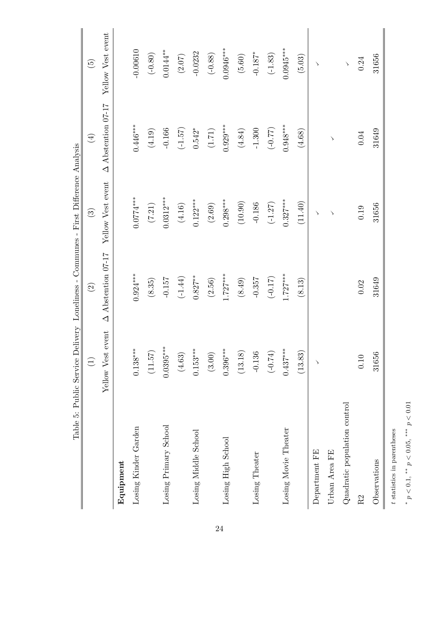|                              | $\widehat{\Xi}$             | $\boxed{2}$               | $\mathbf{G}$          | $\bigoplus$               | $\widetilde{E}$   |
|------------------------------|-----------------------------|---------------------------|-----------------------|---------------------------|-------------------|
|                              | $\rm{event}$<br>Yellow Vest | $\Delta$ Abstention 07-17 | Yellow Vest event     | $\Delta$ Abstention 07-17 | Yellow Vest event |
| Equipment                    |                             |                           |                       |                           |                   |
| Losing Kinder Garden         | $0.138***$                  | $0.924***$                | $0.0774***$           | $0.446***$                | $-0.00610$        |
|                              | (11.57)                     | (8.35)                    | $\left( 7.21\right)$  | (4.19)                    | $(-0.80)$         |
| Losing Primary School        | $0.0395***$                 | $-0.157$                  | $0.0312***$           | $-0.166$                  | $0.0144**$        |
|                              | $(4.63)$                    | $(-1.44)$                 | $(4.16)$              | $(-1.57)$                 | $(2.07)$          |
| Losing Middle School         | ⋇<br>$0.153***$             | $0.827***$                | $0.122***$            | $0.542*$                  | $-0.0232$         |
|                              | (3.00)                      | (2.56)                    | $(2.69)$              | $(1.71)$                  | $(-0.88)$         |
| Losing High School           | $0.396***$                  | $1.727***$                | $0.298***$            | $0.929***$                | $0.0946***$       |
|                              | (13.18)                     | $\left( 8.49\right)$      | $\left( 10.90\right)$ | $(4.84)$                  | $(5.60)$          |
| Losing Theater               | $-0.136$                    | $-0.357$                  | $-0.186$              | $-1.300$                  | $-0.187*$         |
|                              | $(-0.74)$                   | $(-0.17)$                 | $(-1.27)$             | $(77.0-)$                 | $(-1.83)$         |
| Losing Movie Theater         | $0.437***$                  | $1.727***$                | $0.327***$            | $0.948***$                | $0.0945***$       |
|                              | (13.83)                     | (8.13)                    | (11.40)               | (4.68)                    | (5.03)            |
| Department FE                | $\rightarrow$               |                           | $\searrow$            |                           | ゝ                 |
| Urban Area FE                |                             |                           | $\searrow$            | $\backslash$              |                   |
| Quadratic population control |                             |                           |                       |                           | $\backslash$      |
| R2                           | 0.10                        | 0.02                      | 0.19                  | 0.04                      | 0.24              |
| Observations                 | 31656                       | 31649                     | 31656                 | 31649                     | 31656             |

 $^*$   $p<0.1,$   $^{**}$   $p<0.05,$   $^{***}$   $p<0.01$ \*  $p < 0.1$ , \*\*  $p < 0.05$ , \*\*\*  $p < 0.01$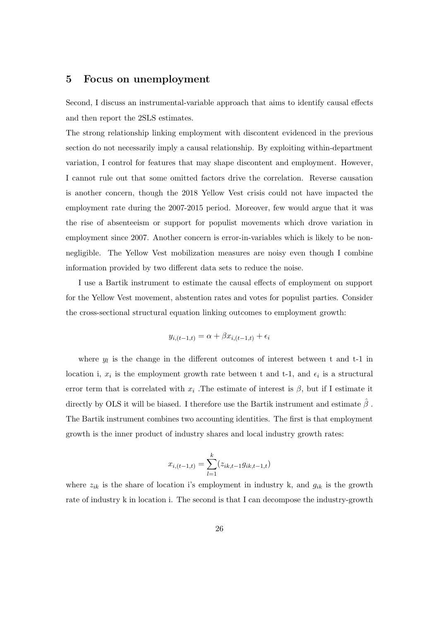## 5 Focus on unemployment

Second, I discuss an instrumental-variable approach that aims to identify causal effects and then report the 2SLS estimates.

The strong relationship linking employment with discontent evidenced in the previous section do not necessarily imply a causal relationship. By exploiting within-department variation, I control for features that may shape discontent and employment. However, I cannot rule out that some omitted factors drive the correlation. Reverse causation is another concern, though the 2018 Yellow Vest crisis could not have impacted the employment rate during the 2007-2015 period. Moreover, few would argue that it was the rise of absenteeism or support for populist movements which drove variation in employment since 2007. Another concern is error-in-variables which is likely to be nonnegligible. The Yellow Vest mobilization measures are noisy even though I combine information provided by two different data sets to reduce the noise.

I use a Bartik instrument to estimate the causal effects of employment on support for the Yellow Vest movement, abstention rates and votes for populist parties. Consider the cross-sectional structural equation linking outcomes to employment growth:

$$
y_{i,(t-1,t)} = \alpha + \beta x_{i,(t-1,t)} + \epsilon_i
$$

where  $y_l$  is the change in the different outcomes of interest between t and t-1 in location i,  $x_i$  is the employment growth rate between t and t-1, and  $\epsilon_i$  is a structural error term that is correlated with  $x_i$ . The estimate of interest is  $\beta$ , but if I estimate it directly by OLS it will be biased. I therefore use the Bartik instrument and estimate  $\hat{\beta}$ . The Bartik instrument combines two accounting identities. The first is that employment growth is the inner product of industry shares and local industry growth rates:

$$
x_{i,(t-1,t)} = \sum_{l=1}^{k} (z_{ik,t-1}g_{ik,t-1,t})
$$

where  $z_{ik}$  is the share of location i's employment in industry k, and  $g_{ik}$  is the growth rate of industry k in location i. The second is that I can decompose the industry-growth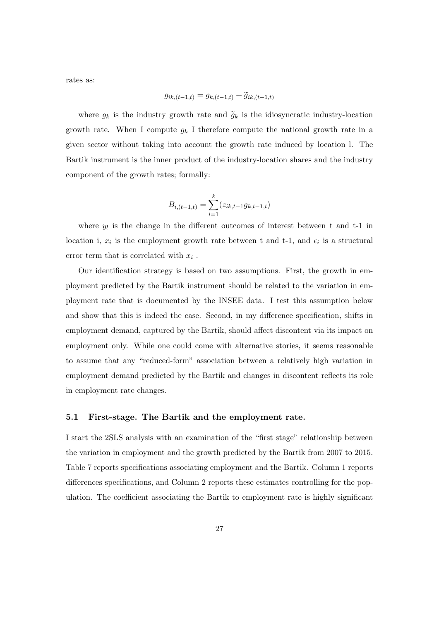rates as:

$$
g_{ik,(t-1,t)} = g_{k,(t-1,t)} + \tilde{g}_{ik,(t-1,t)}
$$

where  $g_k$  is the industry growth rate and  $\tilde{g}_k$  is the idiosyncratic industry-location growth rate. When I compute  $g_k$  I therefore compute the national growth rate in a given sector without taking into account the growth rate induced by location l. The Bartik instrument is the inner product of the industry-location shares and the industry component of the growth rates; formally:

$$
B_{i,(t-1,t)} = \sum_{l=1}^{k} (z_{ik,t-1}g_{k,t-1,t})
$$

where  $y_l$  is the change in the different outcomes of interest between t and t-1 in location i,  $x_i$  is the employment growth rate between t and t-1, and  $\epsilon_i$  is a structural error term that is correlated with  $x_i$ .

Our identification strategy is based on two assumptions. First, the growth in employment predicted by the Bartik instrument should be related to the variation in employment rate that is documented by the INSEE data. I test this assumption below and show that this is indeed the case. Second, in my difference specification, shifts in employment demand, captured by the Bartik, should affect discontent via its impact on employment only. While one could come with alternative stories, it seems reasonable to assume that any "reduced-form" association between a relatively high variation in employment demand predicted by the Bartik and changes in discontent reflects its role in employment rate changes.

#### 5.1 First-stage. The Bartik and the employment rate.

I start the 2SLS analysis with an examination of the "first stage" relationship between the variation in employment and the growth predicted by the Bartik from 2007 to 2015. Table 7 reports specifications associating employment and the Bartik. Column 1 reports differences specifications, and Column 2 reports these estimates controlling for the population. The coefficient associating the Bartik to employment rate is highly significant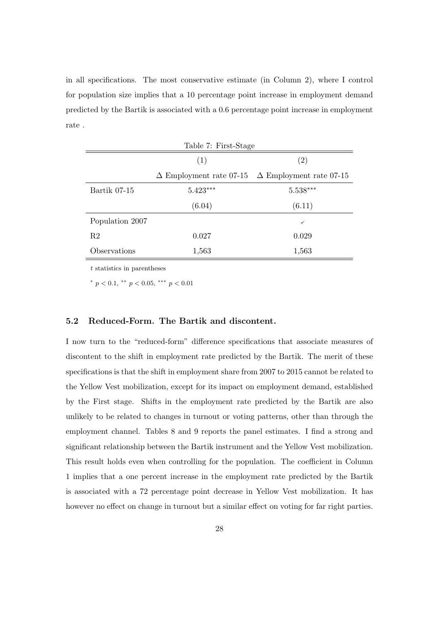in all specifications. The most conservative estimate (in Column 2), where I control for population size implies that a 10 percentage point increase in employment demand predicted by the Bartik is associated with a 0.6 percentage point increase in employment rate .

|                 | Table 7: First-Stage |                                                               |
|-----------------|----------------------|---------------------------------------------------------------|
|                 | (1)                  | $\left( 2\right)$                                             |
|                 |                      | $\Delta$ Employment rate 07-15 $\Delta$ Employment rate 07-15 |
| Bartik 07-15    | $5.423***$           | $5.538***$                                                    |
|                 | (6.04)               | (6.11)                                                        |
| Population 2007 |                      | $\checkmark$                                                  |
| R <sub>2</sub>  | 0.027                | 0.029                                                         |
| Observations    | 1,563                | 1,563                                                         |
|                 |                      |                                                               |

t statistics in parentheses

\*  $p < 0.1$ , \*\*  $p < 0.05$ , \*\*\*  $p < 0.01$ 

#### 5.2 Reduced-Form. The Bartik and discontent.

I now turn to the "reduced-form" difference specifications that associate measures of discontent to the shift in employment rate predicted by the Bartik. The merit of these specifications is that the shift in employment share from 2007 to 2015 cannot be related to the Yellow Vest mobilization, except for its impact on employment demand, established by the First stage. Shifts in the employment rate predicted by the Bartik are also unlikely to be related to changes in turnout or voting patterns, other than through the employment channel. Tables 8 and 9 reports the panel estimates. I find a strong and significant relationship between the Bartik instrument and the Yellow Vest mobilization. This result holds even when controlling for the population. The coefficient in Column 1 implies that a one percent increase in the employment rate predicted by the Bartik is associated with a 72 percentage point decrease in Yellow Vest mobilization. It has however no effect on change in turnout but a similar effect on voting for far right parties.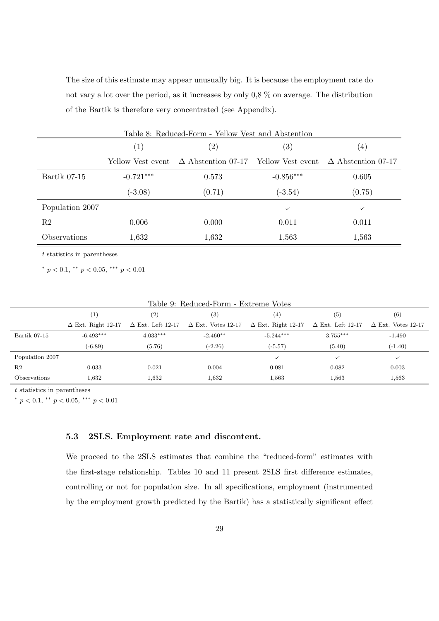The size of this estimate may appear unusually big. It is because the employment rate do not vary a lot over the period, as it increases by only 0,8 % on average. The distribution of the Bartik is therefore very concentrated (see Appendix).

|                 |                   | Table 8: Reduced-Form - Yellow Vest and Abstention |                   |                           |
|-----------------|-------------------|----------------------------------------------------|-------------------|---------------------------|
|                 | (1)               | $\left( 2\right)$                                  | $\left( 3\right)$ | (4)                       |
|                 | Yellow Vest event | $\Delta$ Abstention 07-17 Yellow Vest event        |                   | $\Delta$ Abstention 07-17 |
| Bartik 07-15    | $-0.721***$       | 0.573                                              | $-0.856***$       | 0.605                     |
|                 | $(-3.08)$         | (0.71)                                             | $(-3.54)$         | (0.75)                    |
| Population 2007 |                   |                                                    | ✓                 | $\checkmark$              |
| R <sub>2</sub>  | 0.006             | 0.000                                              | 0.011             | 0.011                     |
| Observations    | 1,632             | 1,632                                              | 1,563             | 1,563                     |

t statistics in parentheses

\*  $p < 0.1$ , \*\*  $p < 0.05$ , \*\*\*  $p < 0.01$ 

|                     |                           |                   | Table 9: Reduced-Form - Extreme Votes              |                           |                          |                           |
|---------------------|---------------------------|-------------------|----------------------------------------------------|---------------------------|--------------------------|---------------------------|
|                     | $\left(1\right)$          | $\left( 2\right)$ | (3)                                                | (4)                       | (5)                      | $\left( 6\right)$         |
|                     | $\Delta$ Ext. Right 12-17 |                   | $\Delta$ Ext. Left 12-17 $\Delta$ Ext. Votes 12-17 | $\Delta$ Ext. Right 12-17 | $\Delta$ Ext. Left 12-17 | $\Delta$ Ext. Votes 12-17 |
| Bartik 07-15        | $-6.493***$               | $4.033***$        | $-2.460**$                                         | $-5.244***$               | $3.755***$               | $-1.490$                  |
|                     | $(-6.89)$                 | (5.76)            | $(-2.26)$                                          | $(-5.57)$                 | (5.40)                   | $(-1.40)$                 |
| Population 2007     |                           |                   |                                                    | $\checkmark$              | $\checkmark$             | $\checkmark$              |
| R <sub>2</sub>      | 0.033                     | 0.021             | 0.004                                              | 0.081                     | 0.082                    | 0.003                     |
| <b>Observations</b> | 1,632                     | 1,632             | 1,632                                              | 1,563                     | 1,563                    | 1,563                     |

 $t$  statistics in parentheses

\*  $p < 0.1$ , \*\*  $p < 0.05$ , \*\*\*  $p < 0.01$ 

#### 5.3 2SLS. Employment rate and discontent.

We proceed to the 2SLS estimates that combine the "reduced-form" estimates with the first-stage relationship. Tables 10 and 11 present 2SLS first difference estimates, controlling or not for population size. In all specifications, employment (instrumented by the employment growth predicted by the Bartik) has a statistically significant effect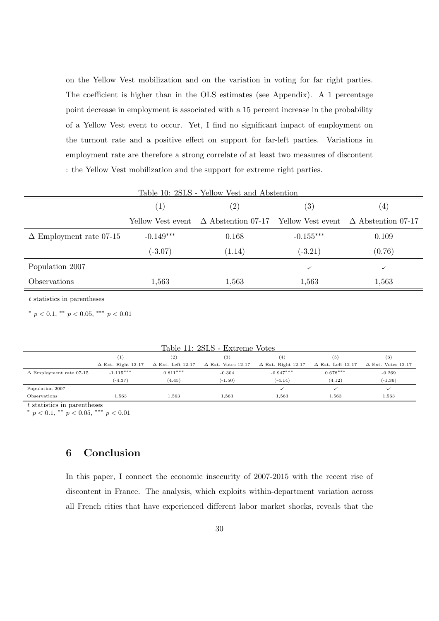on the Yellow Vest mobilization and on the variation in voting for far right parties. The coefficient is higher than in the OLS estimates (see Appendix). A 1 percentage point decrease in employment is associated with a 15 percent increase in the probability of a Yellow Vest event to occur. Yet, I find no significant impact of employment on the turnout rate and a positive effect on support for far-left parties. Variations in employment rate are therefore a strong correlate of at least two measures of discontent : the Yellow Vest mobilization and the support for extreme right parties.

|                                |                   | Table 10: 2SLS - Yellow Vest and Abstention                           |                   |        |
|--------------------------------|-------------------|-----------------------------------------------------------------------|-------------------|--------|
|                                | (1)               | $\left( 2\right)$                                                     | $\left( 3\right)$ | (4)    |
|                                | Yellow Vest event | $\Delta$ Abstention 07-17 Yellow Vest event $\Delta$ Abstention 07-17 |                   |        |
| $\Delta$ Employment rate 07-15 | $-0.149***$       | 0.168                                                                 | $-0.155***$       | 0.109  |
|                                | $(-3.07)$         | (1.14)                                                                | $(-3.21)$         | (0.76) |
| Population 2007                |                   |                                                                       | $\checkmark$      | ✓      |
| Observations                   | 1,563             | 1,563                                                                 | 1,563             | 1,563  |
|                                |                   |                                                                       |                   |        |

t statistics in parentheses

 $\equiv$ 

\*  $p < 0.1$ , \*\*  $p < 0.05$ , \*\*\*  $p < 0.01$ 

|                                |                           | $^{\rm (2)}$             | (3)                       |                           | (5)                      | (6)                       |
|--------------------------------|---------------------------|--------------------------|---------------------------|---------------------------|--------------------------|---------------------------|
|                                | $\Delta$ Ext. Right 12-17 | $\Delta$ Ext. Left 12-17 | $\Delta$ Ext. Votes 12-17 | $\Delta$ Ext. Right 12-17 | $\Delta$ Ext. Left 12-17 | $\Delta$ Ext. Votes 12-17 |
| $\Delta$ Employment rate 07-15 | $-1.115***$               | $0.811***$               | $-0.304$                  | $-0.947***$               | $0.678***$               | $-0.269$                  |
|                                | $(-4.37)$                 | (4.45)                   | $(-1.50)$                 | $(-4.14)$                 | (4.12)                   | $(-1.36)$                 |
| Population 2007                |                           |                          |                           |                           |                          |                           |
| Observations                   | 1,563                     | 1.563                    | 1.563                     | 1.563                     | 1.563                    | 1,563                     |

Table 11: 2SLS - Extreme Votes

t statistics in parentheses<br>\*  $p < 0.1$ , \*\*  $p < 0.05$ , \*\*\*  $p < 0.01$ 

## 6 Conclusion

In this paper, I connect the economic insecurity of 2007-2015 with the recent rise of discontent in France. The analysis, which exploits within-department variation across all French cities that have experienced different labor market shocks, reveals that the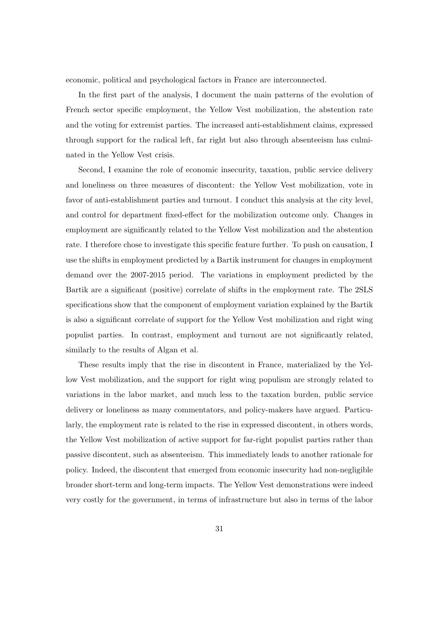economic, political and psychological factors in France are interconnected.

In the first part of the analysis, I document the main patterns of the evolution of French sector specific employment, the Yellow Vest mobilization, the abstention rate and the voting for extremist parties. The increased anti-establishment claims, expressed through support for the radical left, far right but also through absenteeism has culminated in the Yellow Vest crisis.

Second, I examine the role of economic insecurity, taxation, public service delivery and loneliness on three measures of discontent: the Yellow Vest mobilization, vote in favor of anti-establishment parties and turnout. I conduct this analysis at the city level, and control for department fixed-effect for the mobilization outcome only. Changes in employment are significantly related to the Yellow Vest mobilization and the abstention rate. I therefore chose to investigate this specific feature further. To push on causation, I use the shifts in employment predicted by a Bartik instrument for changes in employment demand over the 2007-2015 period. The variations in employment predicted by the Bartik are a significant (positive) correlate of shifts in the employment rate. The 2SLS specifications show that the component of employment variation explained by the Bartik is also a significant correlate of support for the Yellow Vest mobilization and right wing populist parties. In contrast, employment and turnout are not significantly related, similarly to the results of Algan et al.

These results imply that the rise in discontent in France, materialized by the Yellow Vest mobilization, and the support for right wing populism are strongly related to variations in the labor market, and much less to the taxation burden, public service delivery or loneliness as many commentators, and policy-makers have argued. Particularly, the employment rate is related to the rise in expressed discontent, in others words, the Yellow Vest mobilization of active support for far-right populist parties rather than passive discontent, such as absenteeism. This immediately leads to another rationale for policy. Indeed, the discontent that emerged from economic insecurity had non-negligible broader short-term and long-term impacts. The Yellow Vest demonstrations were indeed very costly for the government, in terms of infrastructure but also in terms of the labor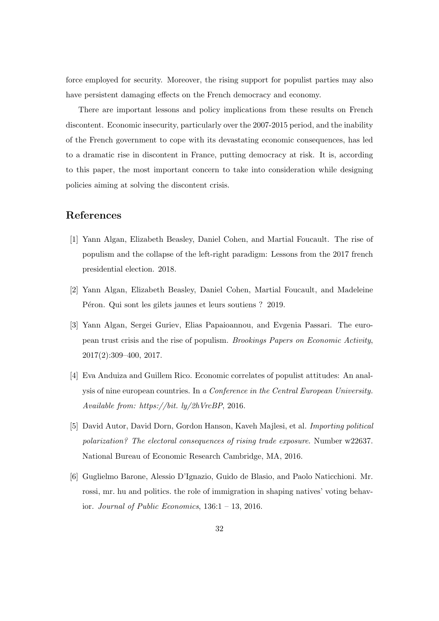force employed for security. Moreover, the rising support for populist parties may also have persistent damaging effects on the French democracy and economy.

There are important lessons and policy implications from these results on French discontent. Economic insecurity, particularly over the 2007-2015 period, and the inability of the French government to cope with its devastating economic consequences, has led to a dramatic rise in discontent in France, putting democracy at risk. It is, according to this paper, the most important concern to take into consideration while designing policies aiming at solving the discontent crisis.

## References

- [1] Yann Algan, Elizabeth Beasley, Daniel Cohen, and Martial Foucault. The rise of populism and the collapse of the left-right paradigm: Lessons from the 2017 french presidential election. 2018.
- [2] Yann Algan, Elizabeth Beasley, Daniel Cohen, Martial Foucault, and Madeleine Péron. Qui sont les gilets jaunes et leurs soutiens ? 2019.
- [3] Yann Algan, Sergei Guriev, Elias Papaioannou, and Evgenia Passari. The european trust crisis and the rise of populism. Brookings Papers on Economic Activity, 2017(2):309–400, 2017.
- [4] Eva Anduiza and Guillem Rico. Economic correlates of populist attitudes: An analysis of nine european countries. In a Conference in the Central European University. Available from: https://bit. ly/2hVrcBP, 2016.
- [5] David Autor, David Dorn, Gordon Hanson, Kaveh Majlesi, et al. Importing political polarization? The electoral consequences of rising trade exposure. Number w22637. National Bureau of Economic Research Cambridge, MA, 2016.
- [6] Guglielmo Barone, Alessio D'Ignazio, Guido de Blasio, and Paolo Naticchioni. Mr. rossi, mr. hu and politics. the role of immigration in shaping natives' voting behavior. Journal of Public Economics,  $136:1 - 13$ ,  $2016$ .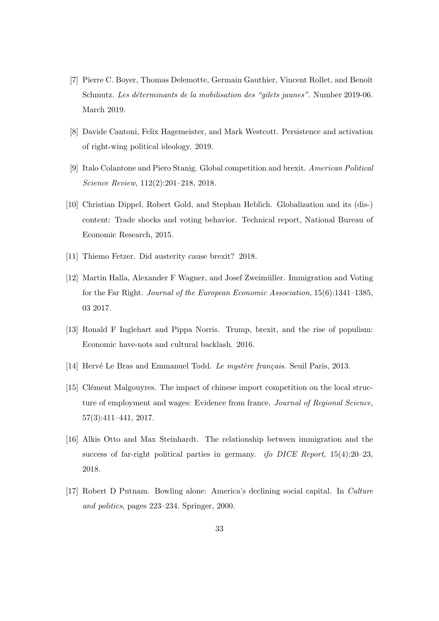- [7] Pierre C. Boyer, Thomas Delemotte, Germain Gauthier, Vincent Rollet, and Benoît Schmutz. Les déterminants de la mobilisation des "gilets jaunes". Number 2019-06. March 2019.
- [8] Davide Cantoni, Felix Hagemeister, and Mark Westcott. Persistence and activation of right-wing political ideology. 2019.
- [9] Italo Colantone and Piero Stanig. Global competition and brexit. American Political Science Review, 112(2):201–218, 2018.
- [10] Christian Dippel, Robert Gold, and Stephan Heblich. Globalization and its (dis-) content: Trade shocks and voting behavior. Technical report, National Bureau of Economic Research, 2015.
- [11] Thiemo Fetzer. Did austerity cause brexit? 2018.
- [12] Martin Halla, Alexander F Wagner, and Josef Zweimüller. Immigration and Voting for the Far Right. Journal of the European Economic Association, 15(6):1341–1385, 03 2017.
- [13] Ronald F Inglehart and Pippa Norris. Trump, brexit, and the rise of populism: Economic have-nots and cultural backlash. 2016.
- [14] Hervé Le Bras and Emmanuel Todd. Le mystère français. Seuil Paris, 2013.
- [15] Clément Malgouyres. The impact of chinese import competition on the local structure of employment and wages: Evidence from france. Journal of Regional Science, 57(3):411–441, 2017.
- [16] Alkis Otto and Max Steinhardt. The relationship between immigration and the success of far-right political parties in germany. *ifo DICE Report*,  $15(4):20-23$ , 2018.
- [17] Robert D Putnam. Bowling alone: America's declining social capital. In Culture and politics, pages 223–234. Springer, 2000.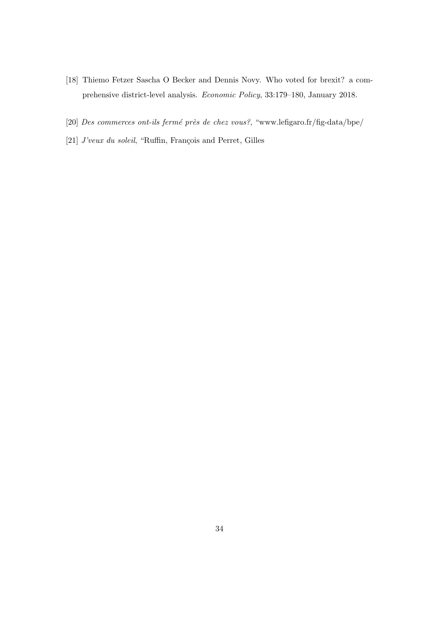- [18] Thiemo Fetzer Sascha O Becker and Dennis Novy. Who voted for brexit? a comprehensive district-level analysis. Economic Policy, 33:179–180, January 2018.
- [20] Des commerces ont-ils fermé près de chez vous?, "www.lefigaro.fr/fig-data/bpe/
- [21]  $J'veux du soleil$ , "Ruffin, François and Perret, Gilles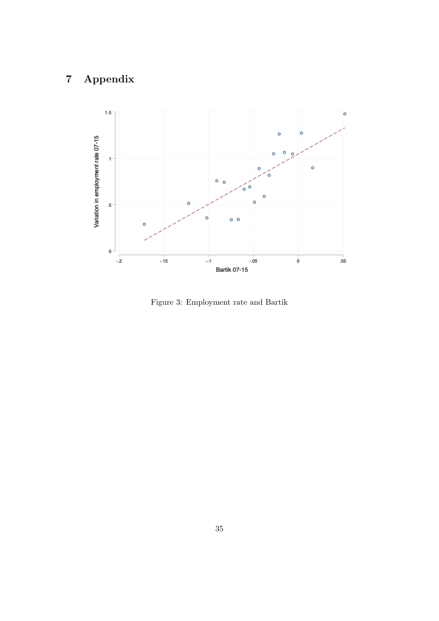# 7 Appendix



Figure 3: Employment rate and Bartik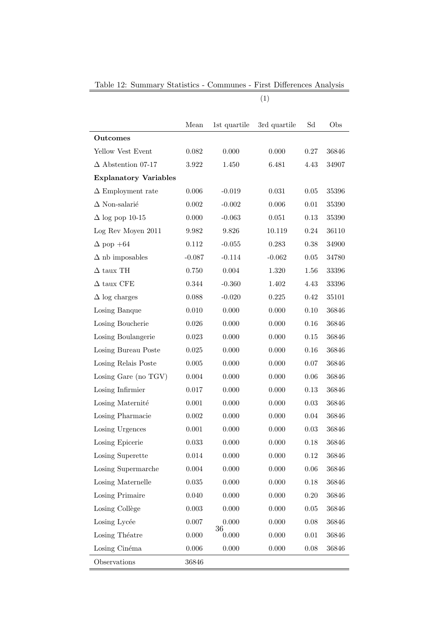Table 12: Summary Statistics - Communes - First Differences Analysis

(1)

|                              | Mean        | 1st quartile | 3rd quartile | Sd       | Obs   |
|------------------------------|-------------|--------------|--------------|----------|-------|
| <b>Outcomes</b>              |             |              |              |          |       |
| Yellow Vest Event            | 0.082       | 0.000        | 0.000        | 0.27     | 36846 |
| $\Delta$ Abstention 07-17    | 3.922       | 1.450        | 6.481        | 4.43     | 34907 |
| <b>Explanatory Variables</b> |             |              |              |          |       |
| $\Delta$ Employment rate     | 0.006       | $-0.019$     | 0.031        | 0.05     | 35396 |
| $\Delta$ Non-salarié         | 0.002       | $-0.002$     | 0.006        | 0.01     | 35390 |
| $\Delta$ log pop 10-15       | 0.000       | $-0.063$     | 0.051        | 0.13     | 35390 |
| Log Rev Moyen 2011           | 9.982       | 9.826        | 10.119       | 0.24     | 36110 |
| $\Delta$ pop +64             | 0.112       | $-0.055$     | 0.283        | 0.38     | 34900 |
| $\Delta$ nb imposables       | $-0.087$    | $-0.114$     | $-0.062$     | 0.05     | 34780 |
| $\Delta$ taux TH             | 0.750       | 0.004        | 1.320        | 1.56     | 33396 |
| $\Delta$ taux CFE            | $0.344\,$   | $-0.360$     | 1.402        | 4.43     | 33396 |
| $\Delta$ log charges         | 0.088       | $-0.020$     | 0.225        | 0.42     | 35101 |
| Losing Banque                | 0.010       | 0.000        | 0.000        | 0.10     | 36846 |
| Losing Boucherie             | $0.026\,$   | 0.000        | 0.000        | 0.16     | 36846 |
| Losing Boulangerie           | $\,0.023\,$ | 0.000        | 0.000        | 0.15     | 36846 |
| Losing Bureau Poste          | $\,0.025\,$ | 0.000        | 0.000        | 0.16     | 36846 |
| Losing Relais Poste          | $0.005\,$   | 0.000        | 0.000        | 0.07     | 36846 |
| Losing Gare (no TGV)         | $0.004\,$   | 0.000        | 0.000        | 0.06     | 36846 |
| Losing Infirmier             | 0.017       | 0.000        | $0.000\,$    | 0.13     | 36846 |
| Losing Maternité             | $0.001\,$   | 0.000        | 0.000        | 0.03     | 36846 |
| Losing Pharmacie             | $0.002\,$   | 0.000        | 0.000        | 0.04     | 36846 |
| Losing Urgences              | $0.001\,$   | 0.000        | 0.000        | 0.03     | 36846 |
| Losing Epicerie              | 0.033       | 0.000        | 0.000        | 0.18     | 36846 |
| Losing Superette             | $\,0.014\,$ | $0.000\,$    | 0.000        | 0.12     | 36846 |
| Losing Supermarche           | 0.004       | 0.000        | $0.000\,$    | 0.06     | 36846 |
| Losing Maternelle            | $\,0.035\,$ | 0.000        | 0.000        | 0.18     | 36846 |
| Losing Primaire              | 0.040       | 0.000        | 0.000        | 0.20     | 36846 |
| Losing Collège               | $\,0.003\,$ | 0.000        | 0.000        | $0.05\,$ | 36846 |
| Losing Lycée                 | $0.007\,$   | 0.000<br>36  | 0.000        | 0.08     | 36846 |
| Losing Théatre               | 0.000       | 0.000        | $0.000\,$    | $0.01\,$ | 36846 |
| Losing Cinéma                | $0.006\,$   | 0.000        | $0.000\,$    | 0.08     | 36846 |
| Observations                 | 36846       |              |              |          |       |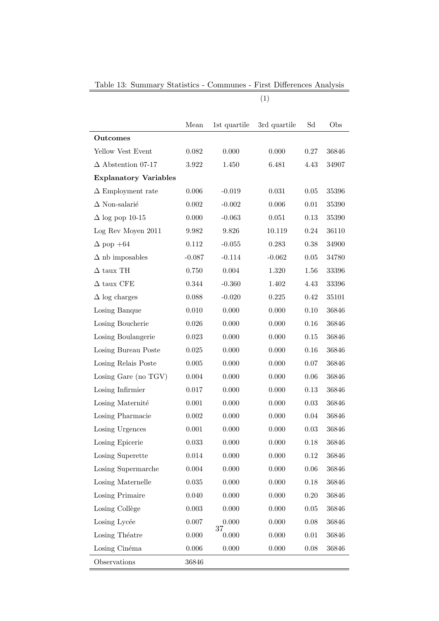Table 13: Summary Statistics - Communes - First Differences Analysis

(1)

|                              | Mean        | 1st quartile | 3rd quartile | Sd       | Obs   |
|------------------------------|-------------|--------------|--------------|----------|-------|
| Outcomes                     |             |              |              |          |       |
| Yellow Vest Event            | 0.082       | 0.000        | 0.000        | 0.27     | 36846 |
| $\Delta$ Abstention 07-17    | 3.922       | 1.450        | 6.481        | 4.43     | 34907 |
| <b>Explanatory Variables</b> |             |              |              |          |       |
| $\Delta$ Employment rate     | 0.006       | $-0.019$     | 0.031        | 0.05     | 35396 |
| $\Delta$ Non-salarié         | 0.002       | $-0.002$     | 0.006        | 0.01     | 35390 |
| $\Delta$ log pop 10-15       | 0.000       | $-0.063$     | 0.051        | 0.13     | 35390 |
| Log Rev Moyen 2011           | 9.982       | 9.826        | 10.119       | 0.24     | 36110 |
| $\Delta$ pop +64             | 0.112       | $-0.055$     | 0.283        | 0.38     | 34900 |
| $\Delta$ nb imposables       | $-0.087$    | $-0.114$     | $-0.062$     | 0.05     | 34780 |
| $\Delta$ taux TH             | 0.750       | 0.004        | 1.320        | 1.56     | 33396 |
| $\Delta$ taux CFE            | 0.344       | $-0.360$     | 1.402        | 4.43     | 33396 |
| $\Delta$ log charges         | 0.088       | $-0.020$     | 0.225        | 0.42     | 35101 |
| Losing Banque                | 0.010       | 0.000        | 0.000        | 0.10     | 36846 |
| Losing Boucherie             | 0.026       | 0.000        | 0.000        | 0.16     | 36846 |
| Losing Boulangerie           | 0.023       | 0.000        | 0.000        | 0.15     | 36846 |
| Losing Bureau Poste          | 0.025       | 0.000        | 0.000        | 0.16     | 36846 |
| Losing Relais Poste          | 0.005       | 0.000        | 0.000        | 0.07     | 36846 |
| Losing Gare (no TGV)         | 0.004       | 0.000        | 0.000        | 0.06     | 36846 |
| Losing Infirmier             | 0.017       | 0.000        | 0.000        | 0.13     | 36846 |
| Losing Maternité             | $0.001\,$   | 0.000        | 0.000        | 0.03     | 36846 |
| Losing Pharmacie             | 0.002       | 0.000        | 0.000        | 0.04     | 36846 |
| Losing Urgences              | 0.001       | 0.000        | 0.000        | 0.03     | 36846 |
| Losing Epicerie              | 0.033       | 0.000        | 0.000        | 0.18     | 36846 |
| Losing Superette             | $0.014\,$   | 0.000        | 0.000        | 0.12     | 36846 |
| Losing Supermarche           | 0.004       | 0.000        | 0.000        | 0.06     | 36846 |
| Losing Maternelle            | $\,0.035\,$ | 0.000        | 0.000        | $0.18\,$ | 36846 |
| Losing Primaire              | 0.040       | 0.000        | 0.000        | 0.20     | 36846 |
| Losing Collège               | $\,0.003\,$ | 0.000        | 0.000        | $0.05\,$ | 36846 |
| Losing Lycée                 | $0.007\,$   | 0.000<br>37  | 0.000        | 0.08     | 36846 |
| Losing Théatre               | 0.000       | 0.000        | 0.000        | $0.01\,$ | 36846 |
| Losing Cinéma                | $0.006\,$   | $0.000\,$    | 0.000        | 0.08     | 36846 |
| Observations                 | 36846       |              |              |          |       |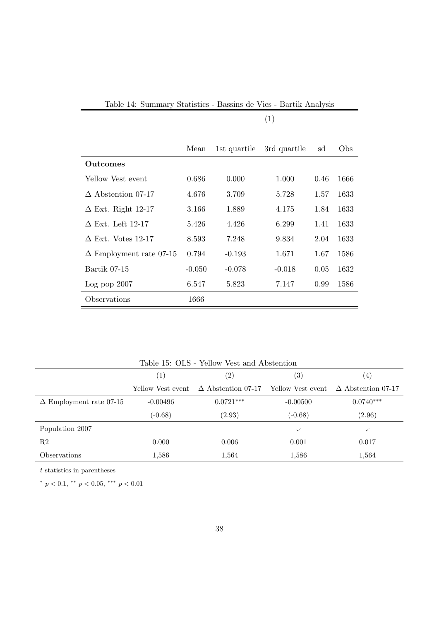|                                | Mean     | 1st quartile | 3rd quartile | sd   | Obs  |
|--------------------------------|----------|--------------|--------------|------|------|
| Outcomes                       |          |              |              |      |      |
| Yellow Vest event              | 0.686    | 0.000        | 1.000        | 0.46 | 1666 |
| $\triangle$ Abstention 07-17   | 4.676    | 3.709        | 5.728        | 1.57 | 1633 |
| $\Delta$ Ext. Right 12-17      | 3.166    | 1.889        | 4.175        | 1.84 | 1633 |
| $\Delta$ Ext. Left 12-17       | 5.426    | 4.426        | 6.299        | 1.41 | 1633 |
| $\Delta$ Ext. Votes 12-17      | 8.593    | 7.248        | 9.834        | 2.04 | 1633 |
| $\Delta$ Employment rate 07-15 | 0.794    | $-0.193$     | 1.671        | 1.67 | 1586 |
| Bartik 07-15                   | $-0.050$ | $-0.078$     | $-0.018$     | 0.05 | 1632 |
| Log pop 2007                   | 6.547    | 5.823        | 7.147        | 0.99 | 1586 |
| Observations                   | 1666     |              |              |      |      |

| Table 14: Summary Statistics - Bassins de Vies - Bartik Analysis |  |  |  |  |  |
|------------------------------------------------------------------|--|--|--|--|--|
|------------------------------------------------------------------|--|--|--|--|--|

(1)

| Table 15: OLS - Yellow Vest and Abstention |                   |                                                                                         |                   |             |  |  |
|--------------------------------------------|-------------------|-----------------------------------------------------------------------------------------|-------------------|-------------|--|--|
|                                            | $\left( 1\right)$ | $\left( 2\right)$                                                                       | $\left( 3\right)$ | (4)         |  |  |
|                                            |                   | Yellow Vest event $\Delta$ Abstention 07-17 Yellow Vest event $\Delta$ Abstention 07-17 |                   |             |  |  |
| $\Delta$ Employment rate 07-15             | $-0.00496$        | $0.0721***$                                                                             | $-0.00500$        | $0.0740***$ |  |  |
|                                            | $(-0.68)$         | (2.93)                                                                                  | $(-0.68)$         | (2.96)      |  |  |
| Population 2007                            |                   |                                                                                         | ✓                 | ✓           |  |  |
| R2                                         | 0.000             | 0.006                                                                                   | 0.001             | 0.017       |  |  |
| <i><b>Observations</b></i>                 | 1,586             | 1,564                                                                                   | 1,586             | 1,564       |  |  |

 $\boldsymbol{t}$  statistics in parentheses

\*  $p < 0.1$ , \*\*  $p < 0.05$ , \*\*\*  $p < 0.01$